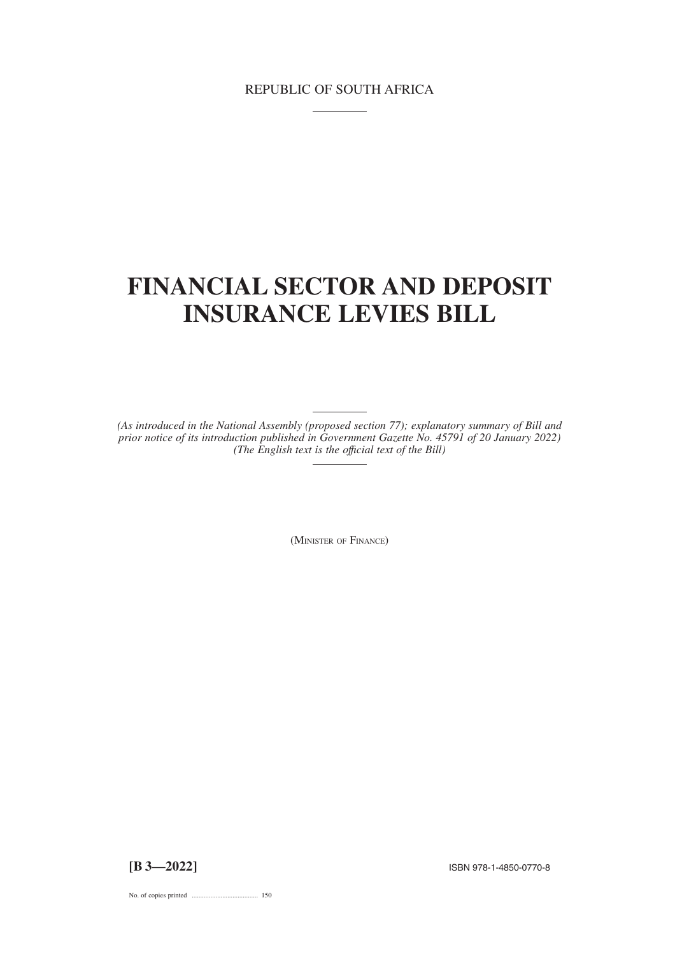# REPUBLIC OF SOUTH AFRICA

# **FINANCIAL SECTOR AND DEPOSIT INSURANCE LEVIES BILL**

*(As introduced in the National Assembly (proposed section 77); explanatory summary of Bill and prior notice of its introduction published in Government Gazette No. 45791 of 20 January 2022) (The English text is the offıcial text of the Bill)*

(MINISTER OF FINANCE)

**[B 3—2022]** ISBN 978-1-4850-0770-8

No. of copies printed ....................................... 150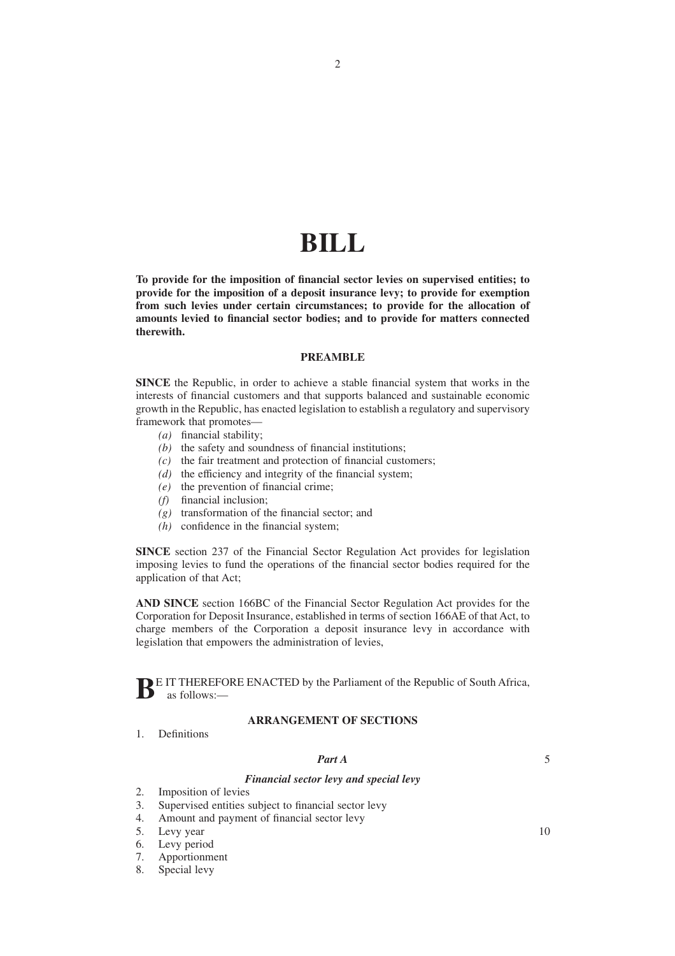# **BILL**

**To provide for the imposition of financial sector levies on supervised entities; to provide for the imposition of a deposit insurance levy; to provide for exemption from such levies under certain circumstances; to provide for the allocation of amounts levied to financial sector bodies; and to provide for matters connected therewith.**

## **PREAMBLE**

**SINCE** the Republic, in order to achieve a stable financial system that works in the interests of financial customers and that supports balanced and sustainable economic growth in the Republic, has enacted legislation to establish a regulatory and supervisory framework that promotes—

- *(a)* financial stability;
- *(b)* the safety and soundness of financial institutions;
- *(c)* the fair treatment and protection of financial customers;
- *(d)* the efficiency and integrity of the financial system;
- *(e)* the prevention of financial crime;
- *(f)* financial inclusion;
- *(g)* transformation of the financial sector; and
- *(h)* confidence in the financial system;

**SINCE** section 237 of the Financial Sector Regulation Act provides for legislation imposing levies to fund the operations of the financial sector bodies required for the application of that Act;

**AND SINCE** section 166BC of the Financial Sector Regulation Act provides for the Corporation for Deposit Insurance, established in terms of section 166AE of that Act, to charge members of the Corporation a deposit insurance levy in accordance with legislation that empowers the administration of levies,

**B**E IT THEREFORE ENACTED by the Parliament of the Republic of South Africa, as follows:—

# **ARRANGEMENT OF SECTIONS**

1. Definitions

#### *Part A*

5

10

# *Financial sector levy and special levy*

- 2. Imposition of levies
- 3. Supervised entities subject to financial sector levy
- 4. Amount and payment of financial sector levy
- 5. Levy year
- 6. Levy period
- 7. Apportionment
- 8. Special levy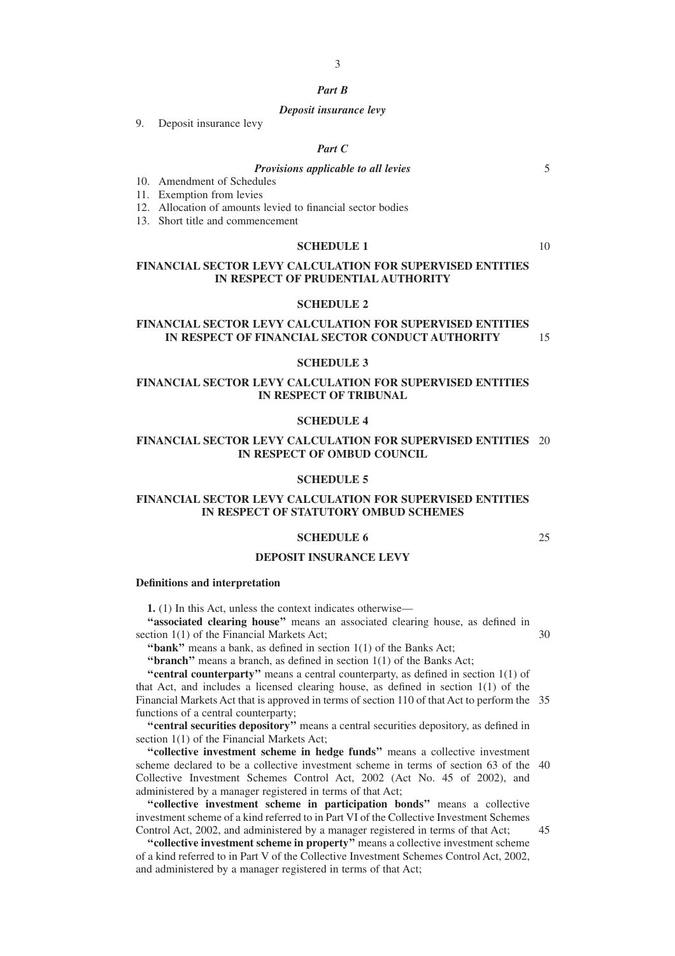# *Part B*

#### *Deposit insurance levy*

9. Deposit insurance levy

#### *Part C*

# *Provisions applicable to all levies*

- 10. Amendment of Schedules
- 11. Exemption from levies
- 12. Allocation of amounts levied to financial sector bodies
- 13. Short title and commencement

# **SCHEDULE 1**

10

5

# **FINANCIAL SECTOR LEVY CALCULATION FOR SUPERVISED ENTITIES IN RESPECT OF PRUDENTIAL AUTHORITY**

#### **SCHEDULE 2**

#### **FINANCIAL SECTOR LEVY CALCULATION FOR SUPERVISED ENTITIES IN RESPECT OF FINANCIAL SECTOR CONDUCT AUTHORITY** 15

#### **SCHEDULE 3**

# **FINANCIAL SECTOR LEVY CALCULATION FOR SUPERVISED ENTITIES IN RESPECT OF TRIBUNAL**

### **SCHEDULE 4**

#### **FINANCIAL SECTOR LEVY CALCULATION FOR SUPERVISED ENTITIES** 20 **IN RESPECT OF OMBUD COUNCIL**

#### **SCHEDULE 5**

#### **FINANCIAL SECTOR LEVY CALCULATION FOR SUPERVISED ENTITIES IN RESPECT OF STATUTORY OMBUD SCHEMES**

#### **SCHEDULE 6**

25

# **DEPOSIT INSURANCE LEVY**

#### **Definitions and interpretation**

**1.** (1) In this Act, unless the context indicates otherwise—

**''associated clearing house''** means an associated clearing house, as defined in section 1(1) of the Financial Markets Act; 30

**''bank''** means a bank, as defined in section 1(1) of the Banks Act;

**''branch''** means a branch, as defined in section 1(1) of the Banks Act;

**''central counterparty''** means a central counterparty, as defined in section 1(1) of that Act, and includes a licensed clearing house, as defined in section 1(1) of the Financial Markets Act that is approved in terms of section 110 of that Act to perform the 35 functions of a central counterparty;

**''central securities depository''** means a central securities depository, as defined in section 1(1) of the Financial Markets Act;

**''collective investment scheme in hedge funds''** means a collective investment scheme declared to be a collective investment scheme in terms of section 63 of the 40 Collective Investment Schemes Control Act, 2002 (Act No. 45 of 2002), and administered by a manager registered in terms of that Act;

**''collective investment scheme in participation bonds''** means a collective investment scheme of a kind referred to in Part VI of the Collective Investment Schemes Control Act, 2002, and administered by a manager registered in terms of that Act;

**''collective investment scheme in property''** means a collective investment scheme of a kind referred to in Part V of the Collective Investment Schemes Control Act, 2002, and administered by a manager registered in terms of that Act;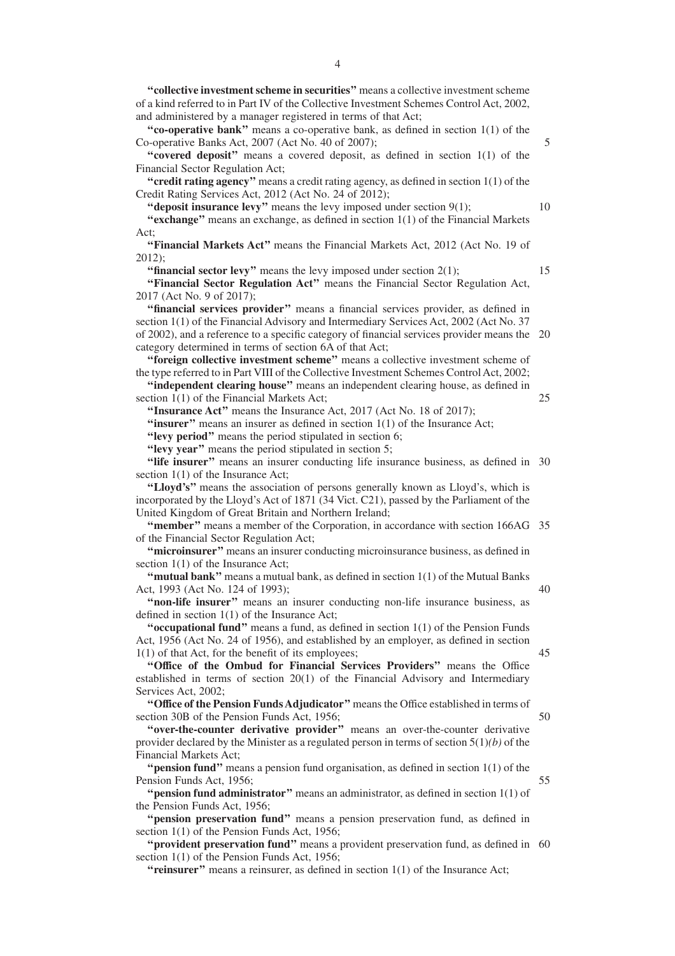**''collective investment scheme in securities''** means a collective investment scheme of a kind referred to in Part IV of the Collective Investment Schemes Control Act, 2002, and administered by a manager registered in terms of that Act;

**''co-operative bank''** means a co-operative bank, as defined in section 1(1) of the Co-operative Banks Act, 2007 (Act No. 40 of 2007);

"covered deposit" means a covered deposit, as defined in section 1(1) of the Financial Sector Regulation Act;

**''credit rating agency''** means a credit rating agency, as defined in section 1(1) of the Credit Rating Services Act, 2012 (Act No. 24 of 2012);

**"deposit insurance levy"** means the levy imposed under section 9(1);

**''exchange''** means an exchange, as defined in section 1(1) of the Financial Markets Act;

**''Financial Markets Act''** means the Financial Markets Act, 2012 (Act No. 19 of 2012);

**"financial sector levy"** means the levy imposed under section 2(1);

**''Financial Sector Regulation Act''** means the Financial Sector Regulation Act, 2017 (Act No. 9 of 2017);

**''financial services provider''** means a financial services provider, as defined in section 1(1) of the Financial Advisory and Intermediary Services Act, 2002 (Act No. 37 of 2002), and a reference to a specific category of financial services provider means the 20 category determined in terms of section 6A of that Act;

**''foreign collective investment scheme''** means a collective investment scheme of the type referred to in Part VIII of the Collective Investment Schemes Control Act, 2002;

**''independent clearing house''** means an independent clearing house, as defined in section 1(1) of the Financial Markets Act;

**''Insurance Act''** means the Insurance Act, 2017 (Act No. 18 of 2017);

"insurer" means an insurer as defined in section 1(1) of the Insurance Act;

**''levy period''** means the period stipulated in section 6;

**''levy year''** means the period stipulated in section 5;

"life insurer" means an insurer conducting life insurance business, as defined in 30 section 1(1) of the Insurance Act;

**''Lloyd's''** means the association of persons generally known as Lloyd's, which is incorporated by the Lloyd's Act of 1871 (34 Vict. C21), passed by the Parliament of the United Kingdom of Great Britain and Northern Ireland;

**"member"** means a member of the Corporation, in accordance with section 166AG 35 of the Financial Sector Regulation Act;

**''microinsurer''** means an insurer conducting microinsurance business, as defined in section 1(1) of the Insurance Act;

**''mutual bank''** means a mutual bank, as defined in section 1(1) of the Mutual Banks Act, 1993 (Act No. 124 of 1993);

**''non-life insurer''** means an insurer conducting non-life insurance business, as defined in section 1(1) of the Insurance Act;

**''occupational fund''** means a fund, as defined in section 1(1) of the Pension Funds Act, 1956 (Act No. 24 of 1956), and established by an employer, as defined in section 1(1) of that Act, for the benefit of its employees;

**''Office of the Ombud for Financial Services Providers''** means the Office established in terms of section 20(1) of the Financial Advisory and Intermediary Services Act, 2002;

**''Office of the Pension Funds Adjudicator''** means the Office established in terms of section 30B of the Pension Funds Act, 1956;

**"over-the-counter derivative provider"** means an over-the-counter derivative provider declared by the Minister as a regulated person in terms of section 5(1)*(b)* of the Financial Markets Act;

**''pension fund''** means a pension fund organisation, as defined in section 1(1) of the Pension Funds Act, 1956;

**''pension fund administrator''** means an administrator, as defined in section 1(1) of the Pension Funds Act, 1956;

**''pension preservation fund''** means a pension preservation fund, as defined in section 1(1) of the Pension Funds Act, 1956;

"**provident preservation fund**" means a provident preservation fund, as defined in 60 section 1(1) of the Pension Funds Act, 1956;

**''reinsurer''** means a reinsurer, as defined in section 1(1) of the Insurance Act;

5

10

15

25

45

50

55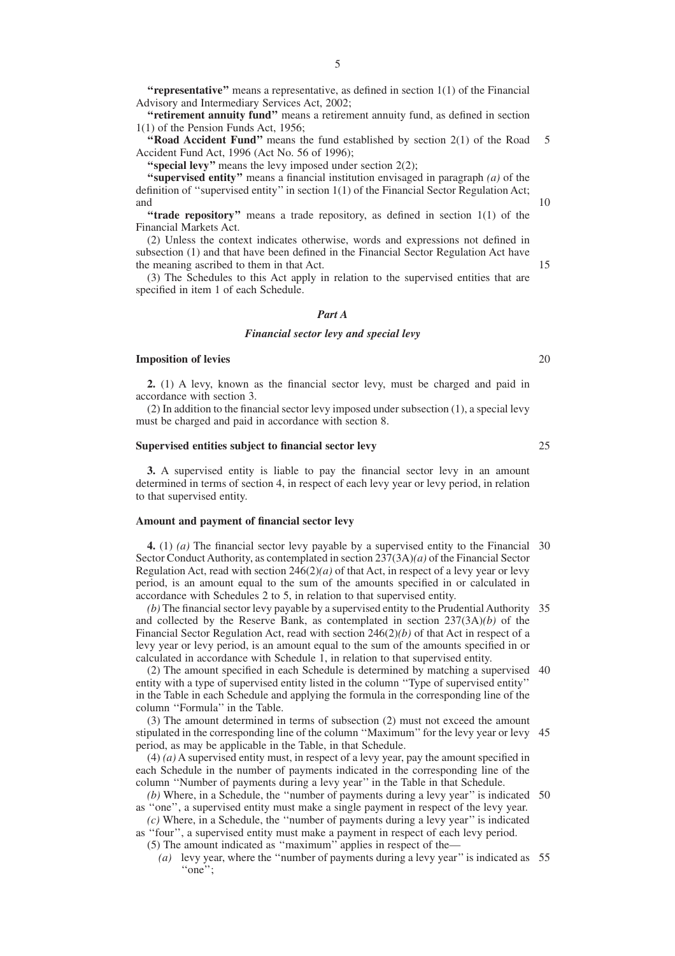**"representative"** means a representative, as defined in section 1(1) of the Financial Advisory and Intermediary Services Act, 2002;

**''retirement annuity fund''** means a retirement annuity fund, as defined in section 1(1) of the Pension Funds Act, 1956;

**''Road Accident Fund''** means the fund established by section 2(1) of the Road Accident Fund Act, 1996 (Act No. 56 of 1996); 5

**"special levy"** means the levy imposed under section 2(2);

**''supervised entity''** means a financial institution envisaged in paragraph *(a)* of the definition of ''supervised entity'' in section 1(1) of the Financial Sector Regulation Act; and

"trade repository" means a trade repository, as defined in section 1(1) of the Financial Markets Act.

(2) Unless the context indicates otherwise, words and expressions not defined in subsection (1) and that have been defined in the Financial Sector Regulation Act have the meaning ascribed to them in that Act.

(3) The Schedules to this Act apply in relation to the supervised entities that are specified in item 1 of each Schedule.

#### *Part A*

#### *Financial sector levy and special levy*

#### **Imposition of levies**

**2.** (1) A levy, known as the financial sector levy, must be charged and paid in accordance with section 3.

(2) In addition to the financial sector levy imposed under subsection (1), a special levy must be charged and paid in accordance with section 8.

#### **Supervised entities subject to financial sector levy**

**3.** A supervised entity is liable to pay the financial sector levy in an amount determined in terms of section 4, in respect of each levy year or levy period, in relation to that supervised entity.

#### **Amount and payment of financial sector levy**

**4.** (1) *(a)* The financial sector levy payable by a supervised entity to the Financial 30 Sector Conduct Authority, as contemplated in section 237(3A)*(a)* of the Financial Sector Regulation Act, read with section  $246(2)(a)$  of that Act, in respect of a levy year or levy period, is an amount equal to the sum of the amounts specified in or calculated in accordance with Schedules 2 to 5, in relation to that supervised entity.

*(b)* The financial sector levy payable by a supervised entity to the Prudential Authority 35 and collected by the Reserve Bank, as contemplated in section 237(3A)*(b)* of the Financial Sector Regulation Act, read with section 246(2)*(b)* of that Act in respect of a levy year or levy period, is an amount equal to the sum of the amounts specified in or calculated in accordance with Schedule 1, in relation to that supervised entity.

(2) The amount specified in each Schedule is determined by matching a supervised 40 entity with a type of supervised entity listed in the column ''Type of supervised entity'' in the Table in each Schedule and applying the formula in the corresponding line of the column ''Formula'' in the Table.

(3) The amount determined in terms of subsection (2) must not exceed the amount stipulated in the corresponding line of the column ''Maximum'' for the levy year or levy 45 period, as may be applicable in the Table, in that Schedule.

(4) *(a)* A supervised entity must, in respect of a levy year, pay the amount specified in each Schedule in the number of payments indicated in the corresponding line of the column ''Number of payments during a levy year'' in the Table in that Schedule.

(b) Where, in a Schedule, the "number of payments during a levy year" is indicated 50 as ''one'', a supervised entity must make a single payment in respect of the levy year.

*(c)* Where, in a Schedule, the ''number of payments during a levy year'' is indicated as ''four'', a supervised entity must make a payment in respect of each levy period.

(5) The amount indicated as ''maximum'' applies in respect of the—

*(a)* levy year, where the ''number of payments during a levy year'' is indicated as 55"one";

10

15

25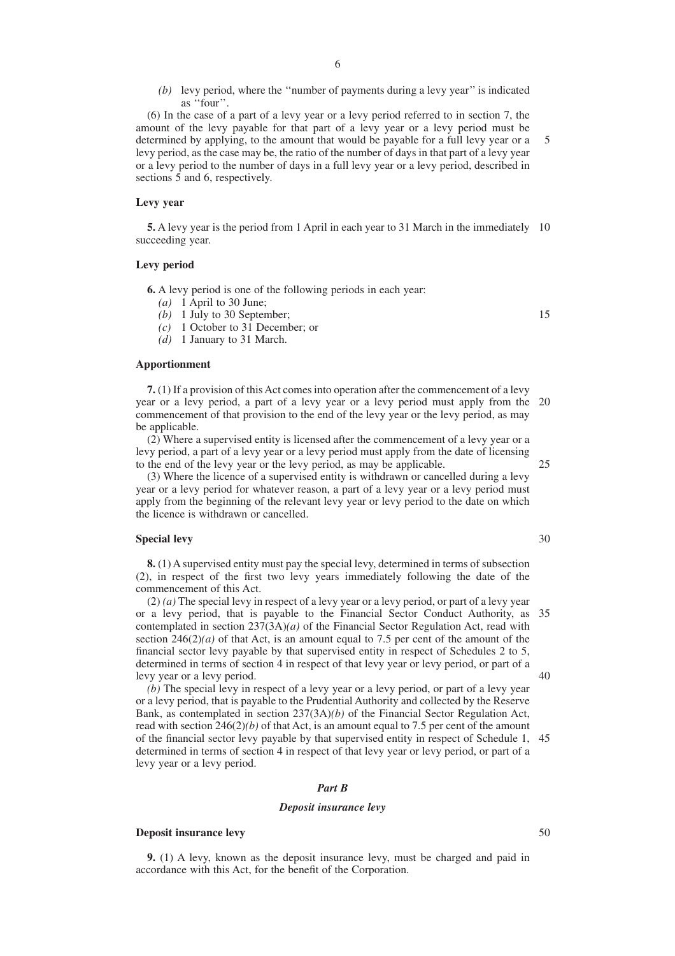- 6
- *(b)* levy period, where the ''number of payments during a levy year'' is indicated as ''four''.

(6) In the case of a part of a levy year or a levy period referred to in section 7, the amount of the levy payable for that part of a levy year or a levy period must be determined by applying, to the amount that would be payable for a full levy year or a levy period, as the case may be, the ratio of the number of days in that part of a levy year or a levy period to the number of days in a full levy year or a levy period, described in sections 5 and 6, respectively. 5

#### **Levy year**

**5.** A levy year is the period from 1 April in each year to 31 March in the immediately 10 succeeding year.

#### **Levy period**

**6.** A levy period is one of the following periods in each year:

- *(a)* 1 April to 30 June;
- *(b)* 1 July to 30 September;
- *(c)* 1 October to 31 December; or
- *(d)* 1 January to 31 March.

#### **Apportionment**

**7.** (1) If a provision of this Act comes into operation after the commencement of a levy year or a levy period, a part of a levy year or a levy period must apply from the 20 commencement of that provision to the end of the levy year or the levy period, as may be applicable.

(2) Where a supervised entity is licensed after the commencement of a levy year or a levy period, a part of a levy year or a levy period must apply from the date of licensing to the end of the levy year or the levy period, as may be applicable.

(3) Where the licence of a supervised entity is withdrawn or cancelled during a levy year or a levy period for whatever reason, a part of a levy year or a levy period must apply from the beginning of the relevant levy year or levy period to the date on which the licence is withdrawn or cancelled.

### **Special levy**

**8.** (1) A supervised entity must pay the special levy, determined in terms of subsection (2), in respect of the first two levy years immediately following the date of the commencement of this Act.

(2) *(a)* The special levy in respect of a levy year or a levy period, or part of a levy year or a levy period, that is payable to the Financial Sector Conduct Authority, as 35 contemplated in section 237(3A)*(a)* of the Financial Sector Regulation Act, read with section  $246(2)(a)$  of that Act, is an amount equal to 7.5 per cent of the amount of the financial sector levy payable by that supervised entity in respect of Schedules 2 to 5, determined in terms of section 4 in respect of that levy year or levy period, or part of a levy year or a levy period.

*(b)* The special levy in respect of a levy year or a levy period, or part of a levy year or a levy period, that is payable to the Prudential Authority and collected by the Reserve Bank, as contemplated in section 237(3A)*(b)* of the Financial Sector Regulation Act, read with section 246(2)*(b)* of that Act, is an amount equal to 7.5 per cent of the amount of the financial sector levy payable by that supervised entity in respect of Schedule 1, 45 determined in terms of section 4 in respect of that levy year or levy period, or part of a levy year or a levy period.

#### *Part B*

#### *Deposit insurance levy*

#### **Deposit insurance levy**

**9.** (1) A levy, known as the deposit insurance levy, must be charged and paid in accordance with this Act, for the benefit of the Corporation.

15

30

25

40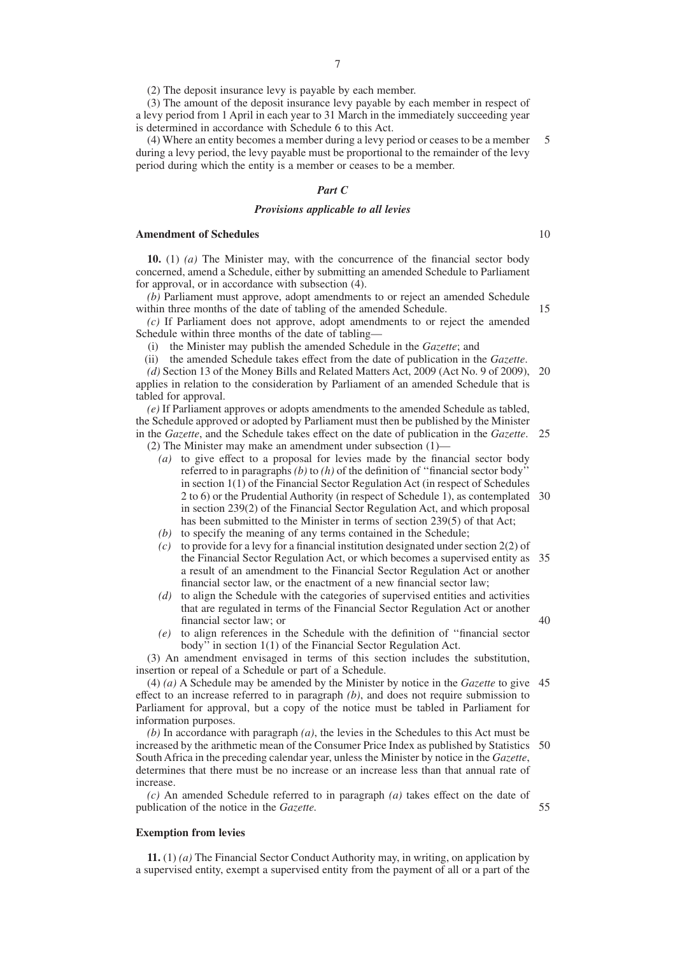(2) The deposit insurance levy is payable by each member.

(3) The amount of the deposit insurance levy payable by each member in respect of a levy period from 1 April in each year to 31 March in the immediately succeeding year is determined in accordance with Schedule 6 to this Act.

(4) Where an entity becomes a member during a levy period or ceases to be a member during a levy period, the levy payable must be proportional to the remainder of the levy period during which the entity is a member or ceases to be a member. 5

#### *Part C*

#### *Provisions applicable to all levies*

#### **Amendment of Schedules**

**10.** (1) *(a)* The Minister may, with the concurrence of the financial sector body concerned, amend a Schedule, either by submitting an amended Schedule to Parliament for approval, or in accordance with subsection (4).

*(b)* Parliament must approve, adopt amendments to or reject an amended Schedule within three months of the date of tabling of the amended Schedule.

*(c)* If Parliament does not approve, adopt amendments to or reject the amended Schedule within three months of the date of tabling—

(i) the Minister may publish the amended Schedule in the *Gazette*; and

(ii) the amended Schedule takes effect from the date of publication in the *Gazette*.

*(d)* Section 13 of the Money Bills and Related Matters Act, 2009 (Act No. 9 of 2009), 20 applies in relation to the consideration by Parliament of an amended Schedule that is tabled for approval.

*(e)* If Parliament approves or adopts amendments to the amended Schedule as tabled, the Schedule approved or adopted by Parliament must then be published by the Minister in the *Gazette*, and the Schedule takes effect on the date of publication in the *Gazette*. 25 (2) The Minister may make an amendment under subsection (1)—

*(a)* to give effect to a proposal for levies made by the financial sector body referred to in paragraphs *(b)* to *(h)* of the definition of ''financial sector body'' in section 1(1) of the Financial Sector Regulation Act (in respect of Schedules 2 to 6) or the Prudential Authority (in respect of Schedule 1), as contemplated in section 239(2) of the Financial Sector Regulation Act, and which proposal has been submitted to the Minister in terms of section 239(5) of that Act; 30

*(b)* to specify the meaning of any terms contained in the Schedule;

- *(c)* to provide for a levy for a financial institution designated under section 2(2) of the Financial Sector Regulation Act, or which becomes a supervised entity as 35 a result of an amendment to the Financial Sector Regulation Act or another financial sector law, or the enactment of a new financial sector law;
- *(d)* to align the Schedule with the categories of supervised entities and activities that are regulated in terms of the Financial Sector Regulation Act or another financial sector law; or
- *(e)* to align references in the Schedule with the definition of ''financial sector body'' in section 1(1) of the Financial Sector Regulation Act.

(3) An amendment envisaged in terms of this section includes the substitution, insertion or repeal of a Schedule or part of a Schedule.

(4) *(a)* A Schedule may be amended by the Minister by notice in the *Gazette* to give 45 effect to an increase referred to in paragraph *(b)*, and does not require submission to Parliament for approval, but a copy of the notice must be tabled in Parliament for information purposes.

*(b)* In accordance with paragraph *(a)*, the levies in the Schedules to this Act must be increased by the arithmetic mean of the Consumer Price Index as published by Statistics 50 South Africa in the preceding calendar year, unless the Minister by notice in the *Gazette*, determines that there must be no increase or an increase less than that annual rate of increase.

*(c)* An amended Schedule referred to in paragraph *(a)* takes effect on the date of publication of the notice in the *Gazette.*

#### **Exemption from levies**

**11.** (1) *(a)* The Financial Sector Conduct Authority may, in writing, on application by a supervised entity, exempt a supervised entity from the payment of all or a part of the

10

15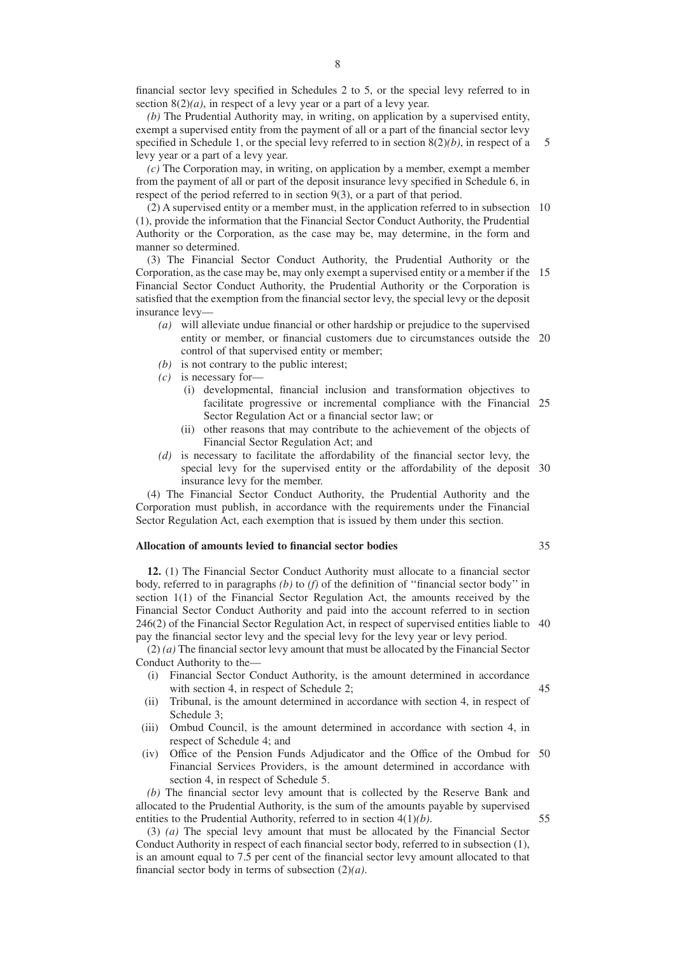financial sector levy specified in Schedules 2 to 5, or the special levy referred to in section 8(2)*(a)*, in respect of a levy year or a part of a levy year.

*(b)* The Prudential Authority may, in writing, on application by a supervised entity, exempt a supervised entity from the payment of all or a part of the financial sector levy specified in Schedule 1, or the special levy referred to in section 8(2)*(b)*, in respect of a levy year or a part of a levy year. 5

*(c)* The Corporation may, in writing, on application by a member, exempt a member from the payment of all or part of the deposit insurance levy specified in Schedule 6, in respect of the period referred to in section 9(3), or a part of that period.

(2) A supervised entity or a member must, in the application referred to in subsection 10 (1), provide the information that the Financial Sector Conduct Authority, the Prudential Authority or the Corporation, as the case may be, may determine, in the form and manner so determined.

(3) The Financial Sector Conduct Authority, the Prudential Authority or the Corporation, as the case may be, may only exempt a supervised entity or a member if the 15 Financial Sector Conduct Authority, the Prudential Authority or the Corporation is satisfied that the exemption from the financial sector levy, the special levy or the deposit insurance levy—

- *(a)* will alleviate undue financial or other hardship or prejudice to the supervised entity or member, or financial customers due to circumstances outside the 20 control of that supervised entity or member;
- *(b)* is not contrary to the public interest;
- *(c)* is necessary for—
	- (i) developmental, financial inclusion and transformation objectives to facilitate progressive or incremental compliance with the Financial 25 Sector Regulation Act or a financial sector law; or
	- (ii) other reasons that may contribute to the achievement of the objects of Financial Sector Regulation Act; and
- *(d)* is necessary to facilitate the affordability of the financial sector levy, the special levy for the supervised entity or the affordability of the deposit 30 insurance levy for the member.

(4) The Financial Sector Conduct Authority, the Prudential Authority and the Corporation must publish, in accordance with the requirements under the Financial Sector Regulation Act, each exemption that is issued by them under this section.

# **Allocation of amounts levied to financial sector bodies**

**12.** (1) The Financial Sector Conduct Authority must allocate to a financial sector body, referred to in paragraphs *(b)* to *(f)* of the definition of ''financial sector body'' in section 1(1) of the Financial Sector Regulation Act, the amounts received by the Financial Sector Conduct Authority and paid into the account referred to in section 246(2) of the Financial Sector Regulation Act, in respect of supervised entities liable to 40 pay the financial sector levy and the special levy for the levy year or levy period.

(2) *(a)* The financial sector levy amount that must be allocated by the Financial Sector Conduct Authority to the—

- (i) Financial Sector Conduct Authority, is the amount determined in accordance with section 4, in respect of Schedule 2;
- (ii) Tribunal, is the amount determined in accordance with section 4, in respect of Schedule 3;
- (iii) Ombud Council, is the amount determined in accordance with section 4, in respect of Schedule 4; and
- (iv) Office of the Pension Funds Adjudicator and the Office of the Ombud for 50 Financial Services Providers, is the amount determined in accordance with section 4, in respect of Schedule 5.

*(b)* The financial sector levy amount that is collected by the Reserve Bank and allocated to the Prudential Authority, is the sum of the amounts payable by supervised entities to the Prudential Authority, referred to in section 4(1)*(b)*.

(3) *(a)* The special levy amount that must be allocated by the Financial Sector Conduct Authority in respect of each financial sector body, referred to in subsection (1), is an amount equal to 7.5 per cent of the financial sector levy amount allocated to that financial sector body in terms of subsection (2)*(a)*.

35

45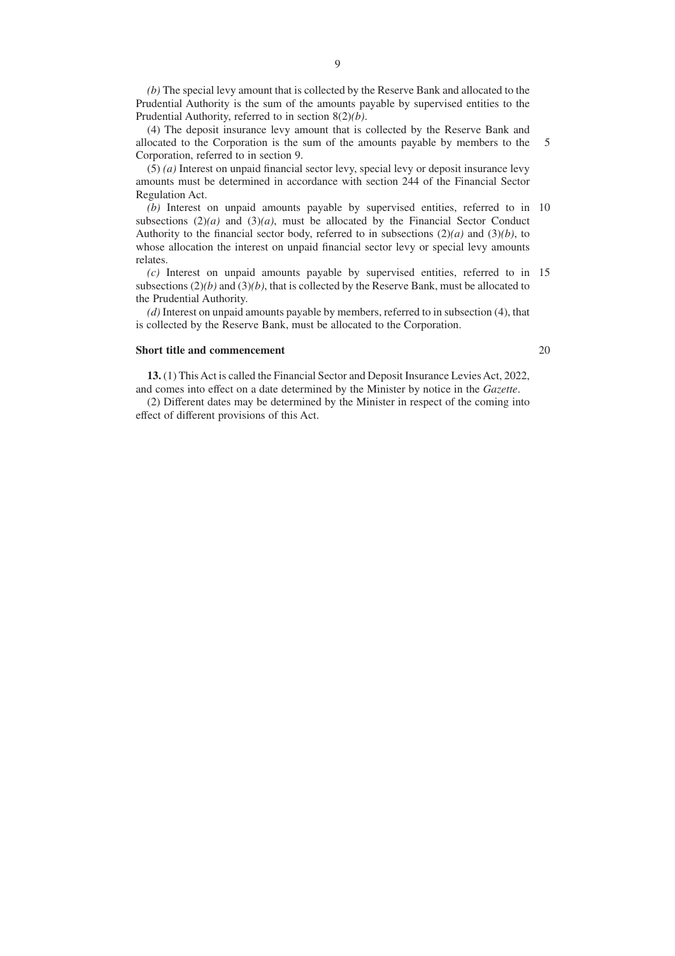*(b)* The special levy amount that is collected by the Reserve Bank and allocated to the Prudential Authority is the sum of the amounts payable by supervised entities to the Prudential Authority, referred to in section 8(2)*(b)*.

(4) The deposit insurance levy amount that is collected by the Reserve Bank and allocated to the Corporation is the sum of the amounts payable by members to the Corporation, referred to in section 9. 5

(5) *(a)* Interest on unpaid financial sector levy, special levy or deposit insurance levy amounts must be determined in accordance with section 244 of the Financial Sector Regulation Act.

*(b)* Interest on unpaid amounts payable by supervised entities, referred to in 10 subsections  $(2)(a)$  and  $(3)(a)$ , must be allocated by the Financial Sector Conduct Authority to the financial sector body, referred to in subsections (2)*(a)* and (3)*(b)*, to whose allocation the interest on unpaid financial sector levy or special levy amounts relates.

*(c)* Interest on unpaid amounts payable by supervised entities, referred to in 15 subsections (2)*(b)* and (3)*(b)*, that is collected by the Reserve Bank, must be allocated to the Prudential Authority.

*(d)* Interest on unpaid amounts payable by members, referred to in subsection (4), that is collected by the Reserve Bank, must be allocated to the Corporation.

#### **Short title and commencement**

20

**13.** (1) This Act is called the Financial Sector and Deposit Insurance Levies Act, 2022, and comes into effect on a date determined by the Minister by notice in the *Gazette*.

(2) Different dates may be determined by the Minister in respect of the coming into effect of different provisions of this Act.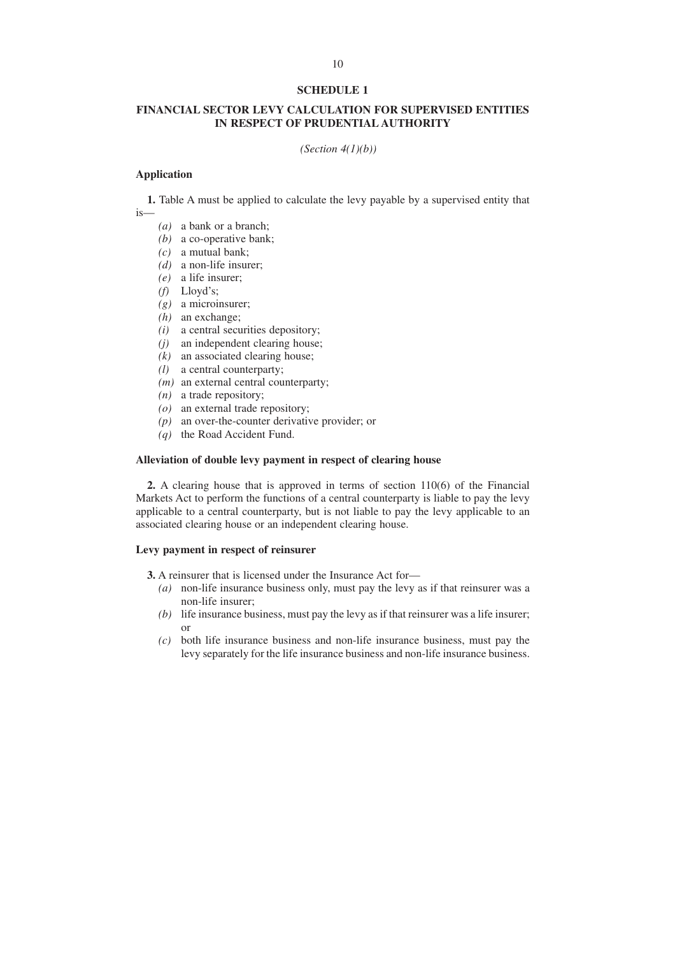# **FINANCIAL SECTOR LEVY CALCULATION FOR SUPERVISED ENTITIES IN RESPECT OF PRUDENTIAL AUTHORITY**

*(Section 4(1)(b))*

#### **Application**

**1.** Table A must be applied to calculate the levy payable by a supervised entity that is—

- *(a)* a bank or a branch;
- *(b)* a co-operative bank;
- *(c)* a mutual bank;
- *(d)* a non-life insurer;
- *(e)* a life insurer;
- *(f)* Lloyd's;
- *(g)* a microinsurer;
- *(h)* an exchange;
- *(i)* a central securities depository;
- *(j)* an independent clearing house;
- $(k)$  an associated clearing house;
- *(l)* a central counterparty;
- *(m)* an external central counterparty;
- *(n)* a trade repository;
- *(o)* an external trade repository;
- *(p)* an over-the-counter derivative provider; or
- *(q)* the Road Accident Fund.

# **Alleviation of double levy payment in respect of clearing house**

**2.** A clearing house that is approved in terms of section 110(6) of the Financial Markets Act to perform the functions of a central counterparty is liable to pay the levy applicable to a central counterparty, but is not liable to pay the levy applicable to an associated clearing house or an independent clearing house.

#### **Levy payment in respect of reinsurer**

- **3.** A reinsurer that is licensed under the Insurance Act for—
	- *(a)* non-life insurance business only, must pay the levy as if that reinsurer was a non-life insurer;
	- *(b)* life insurance business, must pay the levy as if that reinsurer was a life insurer; or
	- *(c)* both life insurance business and non-life insurance business, must pay the levy separately for the life insurance business and non-life insurance business.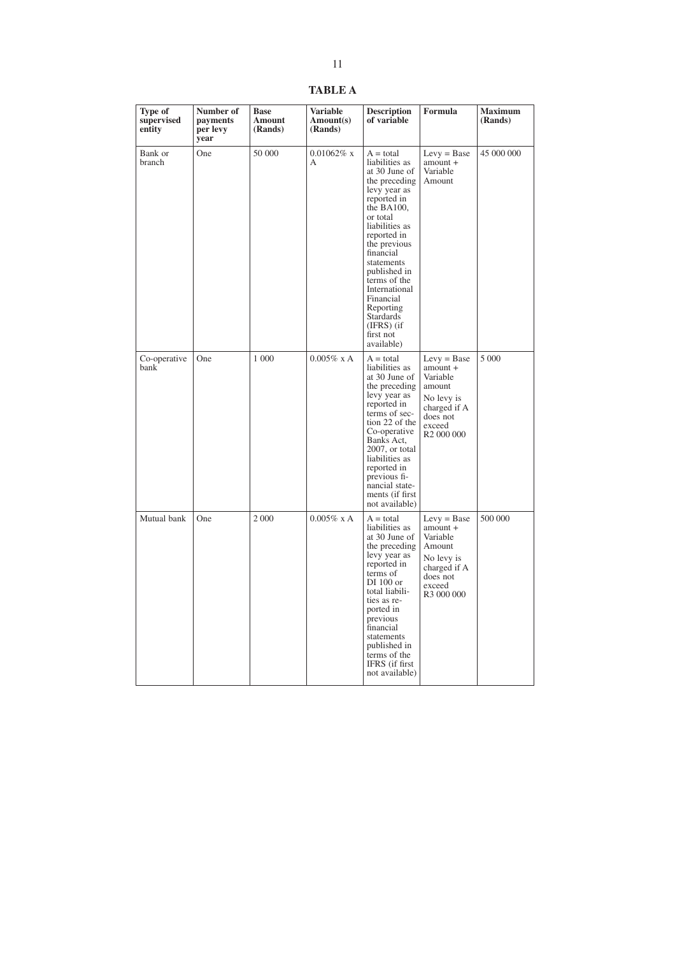**TABLE A**

| Type of<br>supervised<br>entity | Number of<br>payments<br>per levy<br>year | <b>Base</b><br>Amount<br>(Rands) | Variable<br>Amount(s)<br>(Rands) | <b>Description</b><br>of variable                                                                                                                                                                                                                                                                                                              | Formula                                                                                                                       | <b>Maximum</b><br>(Rands) |
|---------------------------------|-------------------------------------------|----------------------------------|----------------------------------|------------------------------------------------------------------------------------------------------------------------------------------------------------------------------------------------------------------------------------------------------------------------------------------------------------------------------------------------|-------------------------------------------------------------------------------------------------------------------------------|---------------------------|
| Bank or<br>branch               | One                                       | 50 000                           | $0.01062\%$ x<br>А               | $A = total$<br>liabilities as<br>at 30 June of<br>the preceding<br>levy year as<br>reported in<br>the BA100,<br>or total<br>liabilities as<br>reported in<br>the previous<br>financial<br>statements<br>published in<br>terms of the<br>International<br>Financial<br>Reporting<br><b>Stardards</b><br>$(IFRS)$ (if<br>first not<br>available) | $Levy = Base$<br>$amount +$<br>Variable<br>Amount                                                                             | 45 000 000                |
| Co-operative<br>bank            | One                                       | 1 000                            | $0.005\%$ x A                    | $A = total$<br>liabilities as<br>at 30 June of<br>the preceding<br>levy year as<br>reported in<br>terms of sec-<br>tion 22 of the<br>Co-operative<br>Banks Act,<br>2007, or total<br>liabilities as<br>reported in<br>previous fi-<br>nancial state-<br>ments (if first<br>not available)                                                      | $Levy = Base$<br>amount +<br>Variable<br>amount<br>No levy is<br>charged if A<br>does not<br>exceed<br>R <sub>2</sub> 000 000 | 5 0 0 0                   |
| Mutual bank                     | One                                       | 2 0 0 0                          | $0.005\%$ x A                    | $A = total$<br>liabilities as<br>at 30 June of<br>the preceding<br>levy year as<br>reported in<br>terms of<br>DI 100 or<br>total liabili-<br>ties as re-<br>ported in<br>previous<br>financial<br>statements<br>published in<br>terms of the<br>IFRS (if first<br>not available)                                                               | $Levy = Base$<br>amount +<br>Variable<br>Amount<br>No levy is<br>charged if A<br>does not<br>exceed<br>R <sub>3</sub> 000 000 | 500 000                   |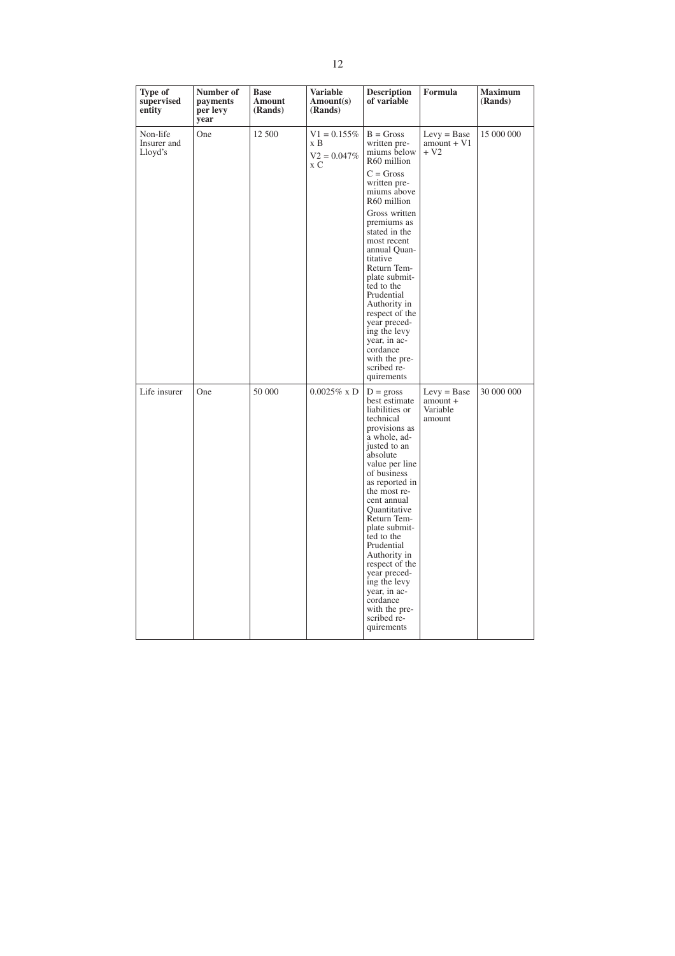| Type of<br>supervised<br>entity    | Number of<br>payments<br>per levy<br>year | <b>Base</b><br><b>Amount</b><br>(Rands) | <b>Variable</b><br>Amount(s)<br>(Rands)        | <b>Description</b><br>of variable                                                                                                                                                                                                                                                                                                                                                                                                         | Formula                                         | <b>Maximum</b><br>(Rands) |
|------------------------------------|-------------------------------------------|-----------------------------------------|------------------------------------------------|-------------------------------------------------------------------------------------------------------------------------------------------------------------------------------------------------------------------------------------------------------------------------------------------------------------------------------------------------------------------------------------------------------------------------------------------|-------------------------------------------------|---------------------------|
| Non-life<br>Insurer and<br>Lloyd's | One                                       | 12 500                                  | $V1 = 0.155\%$<br>x B<br>$V2 = 0.047\%$<br>x C | $B = Gross$<br>written pre-<br>miums below<br>R60 million                                                                                                                                                                                                                                                                                                                                                                                 | $Levy = Base$<br>$amount + V1$<br>$+V2$         | 15 000 000                |
|                                    |                                           |                                         |                                                | $C = Gross$<br>written pre-<br>miums above<br>R60 million                                                                                                                                                                                                                                                                                                                                                                                 |                                                 |                           |
|                                    |                                           |                                         |                                                | Gross written<br>premiums as<br>stated in the<br>most recent<br>annual Quan-<br>titative<br>Return Tem-<br>plate submit-<br>ted to the<br>Prudential<br>Authority in<br>respect of the<br>year preced-<br>ing the levy<br>vear, in ac-<br>cordance<br>with the pre-<br>scribed re-<br>quirements                                                                                                                                          |                                                 |                           |
| Life insurer                       | One                                       | 50 000                                  | $0.0025\%$ x D                                 | $D = \text{gross}$<br>best estimate<br>liabilities or<br>technical<br>provisions as<br>a whole, ad-<br>justed to an<br>absolute<br>value per line<br>of business<br>as reported in<br>the most re-<br>cent annual<br>Quantitative<br>Return Tem-<br>plate submit-<br>ted to the<br>Prudential<br>Authority in<br>respect of the<br>year preced-<br>ing the levy<br>year, in ac-<br>cordance<br>with the pre-<br>scribed re-<br>quirements | $Levy = Base$<br>amount +<br>Variable<br>amount | 30 000 000                |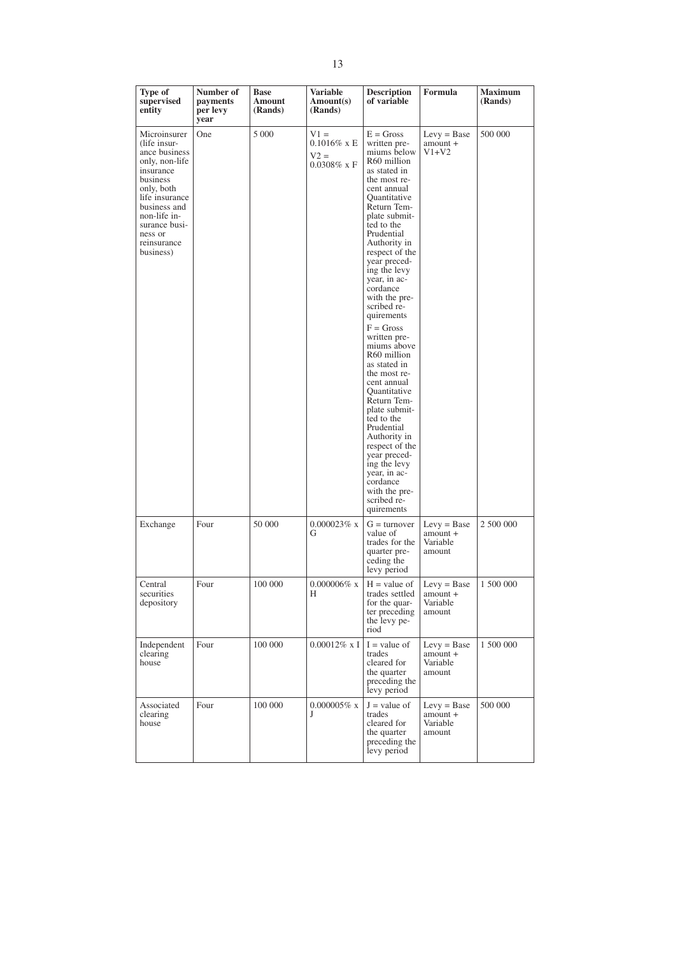| Type of<br>supervised<br>entity                                                                                                                                                                                  | Number of<br>payments<br>per levy<br>year | <b>Base</b><br>Amount<br>(Rands) | <b>Variable</b><br>Amount(s)<br>(Rands)              | <b>Description</b><br>of variable                                                                                                                                                                                                                                                                                                                                                                                                                                                                                                                                                                                                                                    | Formula                                         | <b>Maximum</b><br>(Rands) |
|------------------------------------------------------------------------------------------------------------------------------------------------------------------------------------------------------------------|-------------------------------------------|----------------------------------|------------------------------------------------------|----------------------------------------------------------------------------------------------------------------------------------------------------------------------------------------------------------------------------------------------------------------------------------------------------------------------------------------------------------------------------------------------------------------------------------------------------------------------------------------------------------------------------------------------------------------------------------------------------------------------------------------------------------------------|-------------------------------------------------|---------------------------|
| Microinsurer<br>(life insur-<br>ance business<br>only, non-life<br>insurance<br>business<br>only, both<br>life insurance<br>business and<br>non-life in-<br>surance busi-<br>ness or<br>reinsurance<br>business) | One                                       | 5 000                            | $V1 =$<br>$0.1016\%$ x E<br>$V2 =$<br>$0.0308\%$ x F | $E = Gross$<br>written pre-<br>miums below<br>R60 million<br>as stated in<br>the most re-<br>cent annual<br>Quantitative<br>Return Tem-<br>plate submit-<br>ted to the<br>Prudential<br>Authority in<br>respect of the<br>year preced-<br>ing the levy<br>year, in ac-<br>cordance<br>with the pre-<br>scribed re-<br>quirements<br>$F = Gross$<br>written pre-<br>miums above<br>R60 million<br>as stated in<br>the most re-<br>cent annual<br>Quantitative<br>Return Tem-<br>plate submit-<br>ted to the<br>Prudential<br>Authority in<br>respect of the<br>year preced-<br>ing the levy<br>year, in ac-<br>cordance<br>with the pre-<br>scribed re-<br>quirements | $Levy = Base$<br>amount +<br>$V1+V2$            | 500 000                   |
| Exchange                                                                                                                                                                                                         | Four                                      | 50 000                           | $0.000023\%$ x<br>G                                  | $G =$ turnover<br>value of<br>trades for the<br>quarter pre-<br>ceding the<br>levy period                                                                                                                                                                                                                                                                                                                                                                                                                                                                                                                                                                            | $Levy = Base$<br>amount +<br>Variable<br>amount | 2 500 000                 |
| Central<br>securities<br>depository                                                                                                                                                                              | Four                                      | 100 000                          | $0.000006\%$ x<br>H                                  | $H = value of$<br>trades settled $\vert$ amount +<br>for the quar-<br>ter preceding<br>the levy pe-<br>riod                                                                                                                                                                                                                                                                                                                                                                                                                                                                                                                                                          | $Levy = Base$<br>Variable<br>amount             | 1 500 000                 |
| Independent<br>clearing<br>house                                                                                                                                                                                 | Four                                      | 100 000                          | $0.00012\%$ x I                                      | $I = value of$<br>trades<br>cleared for<br>the quarter<br>preceding the<br>levy period                                                                                                                                                                                                                                                                                                                                                                                                                                                                                                                                                                               | $Levy = Base$<br>amount +<br>Variable<br>amount | 1 500 000                 |
| Associated<br>clearing<br>house                                                                                                                                                                                  | Four                                      | 100 000                          | $0.000005\%$ x<br>J                                  | $J =$ value of<br>trades<br>cleared for<br>the quarter<br>preceding the<br>levy period                                                                                                                                                                                                                                                                                                                                                                                                                                                                                                                                                                               | $Levy = Base$<br>amount +<br>Variable<br>amount | 500 000                   |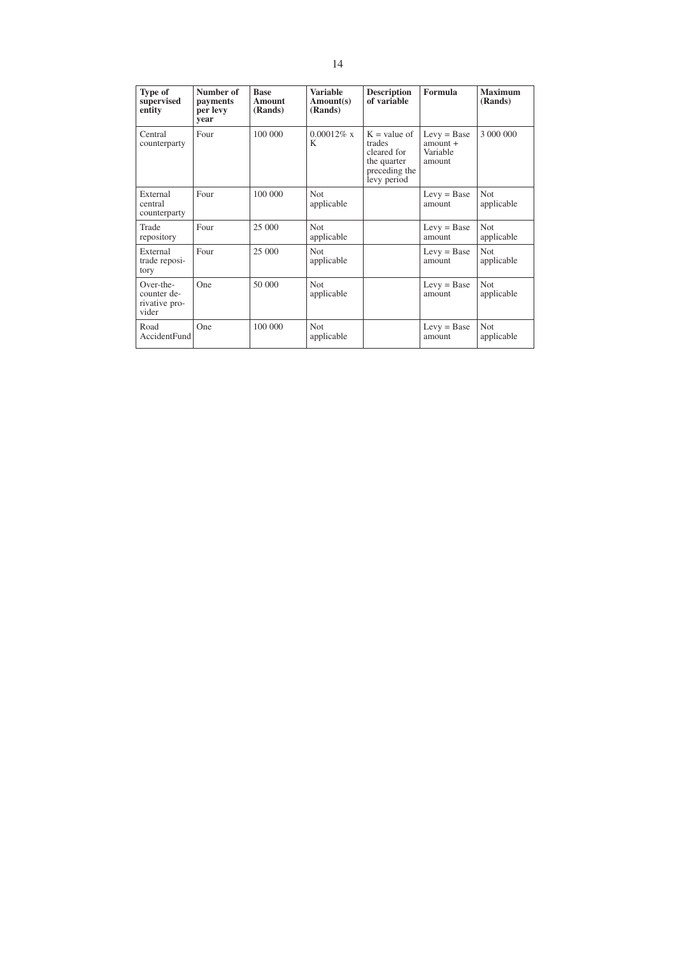| Type of<br>supervised<br>entity                    | Number of<br>payments<br>per levy<br>vear | <b>Base</b><br>Amount<br>(Rands) | <b>Variable</b><br>Amount(s)<br>(Rands) | <b>Description</b><br>of variable                                                      | Formula                                           | <b>Maximum</b><br>(Rands) |
|----------------------------------------------------|-------------------------------------------|----------------------------------|-----------------------------------------|----------------------------------------------------------------------------------------|---------------------------------------------------|---------------------------|
| Central<br>counterparty                            | Four                                      | 100 000                          | $0.00012\%$ x<br>K                      | $K =$ value of<br>trades<br>cleared for<br>the quarter<br>preceding the<br>levy period | $Levy = Base$<br>$amount +$<br>Variable<br>amount | 3 000 000                 |
| External<br>central<br>counterparty                | Four                                      | 100 000                          | <b>Not</b><br>applicable                |                                                                                        | $Levy = Base$<br>amount                           | <b>Not</b><br>applicable  |
| Trade<br>repository                                | Four                                      | 25 000                           | Not.<br>applicable                      |                                                                                        | $Levy = Base$<br>amount                           | <b>Not</b><br>applicable  |
| External<br>trade reposi-<br>tory                  | Four                                      | 25 000                           | <b>Not</b><br>applicable                |                                                                                        | $Levy = Base$<br>amount                           | <b>Not</b><br>applicable  |
| Over-the-<br>counter de-<br>rivative pro-<br>vider | One                                       | 50 000                           | <b>Not</b><br>applicable                |                                                                                        | $Levy = Base$<br>amount                           | <b>Not</b><br>applicable  |
| Road<br><b>AccidentFund</b>                        | One                                       | 100 000                          | <b>Not</b><br>applicable                |                                                                                        | $Levy = Base$<br>amount                           | <b>Not</b><br>applicable  |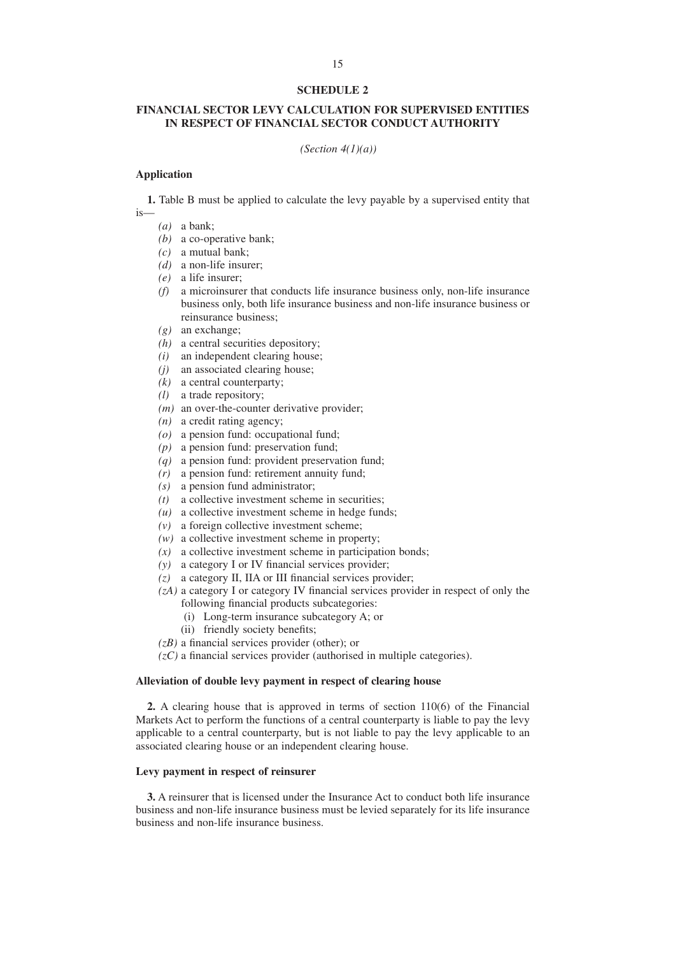## **FINANCIAL SECTOR LEVY CALCULATION FOR SUPERVISED ENTITIES IN RESPECT OF FINANCIAL SECTOR CONDUCT AUTHORITY**

*(Section 4(1)(a))*

#### **Application**

**1.** Table B must be applied to calculate the levy payable by a supervised entity that is—

- *(a)* a bank;
- *(b)* a co-operative bank;
- *(c)* a mutual bank;
- *(d)* a non-life insurer;
- *(e)* a life insurer;
- *(f)* a microinsurer that conducts life insurance business only, non-life insurance business only, both life insurance business and non-life insurance business or reinsurance business;
- *(g)* an exchange;
- *(h)* a central securities depository;
- *(i)* an independent clearing house;
- *(j)* an associated clearing house;
- $(k)$  a central counterparty:
- *(l)* a trade repository;
- *(m)* an over-the-counter derivative provider;
- *(n)* a credit rating agency;
- *(o)* a pension fund: occupational fund;
- *(p)* a pension fund: preservation fund;
- *(q)* a pension fund: provident preservation fund;
- *(r)* a pension fund: retirement annuity fund;
- *(s)* a pension fund administrator;
- *(t)* a collective investment scheme in securities;
- *(u)* a collective investment scheme in hedge funds;
- *(v)* a foreign collective investment scheme;
- *(w)* a collective investment scheme in property;
- *(x)* a collective investment scheme in participation bonds;
- *(y)* a category I or IV financial services provider;
- *(z)* a category II, IIA or III financial services provider;
- *(zA)* a category I or category IV financial services provider in respect of only the following financial products subcategories:
	- (i) Long-term insurance subcategory A; or
	- (ii) friendly society benefits;
- *(zB)* a financial services provider (other); or
- *(zC)* a financial services provider (authorised in multiple categories).

# **Alleviation of double levy payment in respect of clearing house**

**2.** A clearing house that is approved in terms of section 110(6) of the Financial Markets Act to perform the functions of a central counterparty is liable to pay the levy applicable to a central counterparty, but is not liable to pay the levy applicable to an associated clearing house or an independent clearing house.

### **Levy payment in respect of reinsurer**

**3.** A reinsurer that is licensed under the Insurance Act to conduct both life insurance business and non-life insurance business must be levied separately for its life insurance business and non-life insurance business.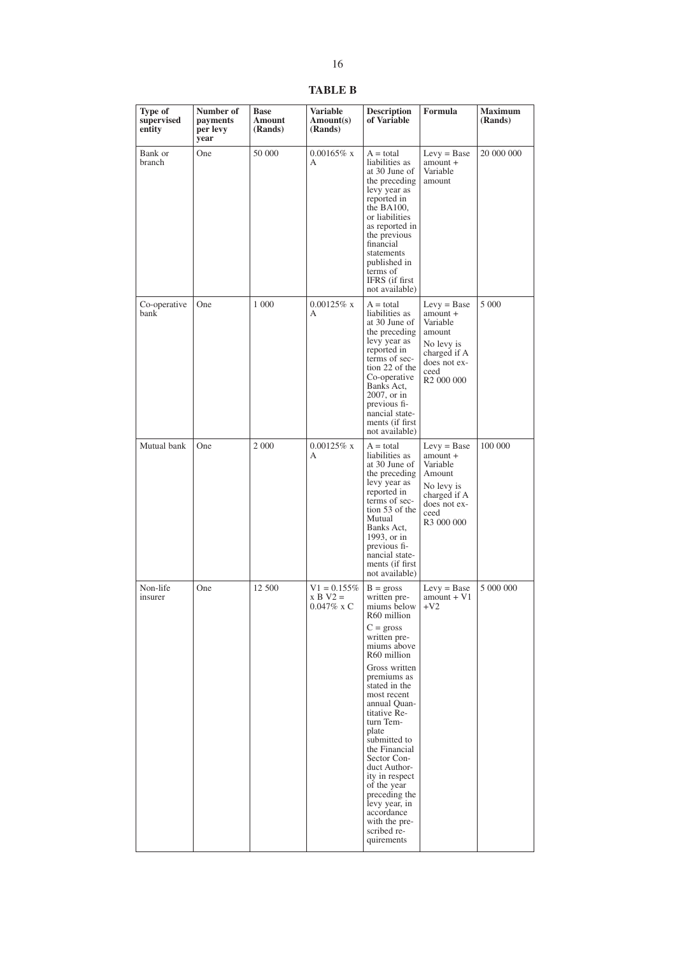**TABLE B**

| Type of<br>supervised<br>entity | Number of<br>payments<br>per levy<br>year | <b>Base</b><br><b>Amount</b><br>(Rands) | Variable<br>Amount(s)<br>(Rands)                   | <b>Description</b><br>of Variable                                                                                                                                                                                                                                                                                                                                                                                                             | Formula                                                                                                                         | <b>Maximum</b><br>(Rands) |
|---------------------------------|-------------------------------------------|-----------------------------------------|----------------------------------------------------|-----------------------------------------------------------------------------------------------------------------------------------------------------------------------------------------------------------------------------------------------------------------------------------------------------------------------------------------------------------------------------------------------------------------------------------------------|---------------------------------------------------------------------------------------------------------------------------------|---------------------------|
| Bank or<br>branch               | One                                       | 50 000                                  | $0.00165\%$ x<br>А                                 | $A = total$<br>liabilities as<br>at 30 June of<br>the preceding<br>levy year as<br>reported in<br>the $BA100$ ,<br>or liabilities<br>as reported in<br>the previous<br>financial<br>statements<br>published in<br>terms of<br>IFRS (if first)<br>not available)                                                                                                                                                                               | $Levy = Base$<br>amount +<br>Variable<br>amount                                                                                 | 20 000 000                |
| Co-operative<br>bank            | One                                       | 1 000                                   | $0.00125\%$ x<br>А                                 | $A = total$<br>liabilities as<br>at 30 June of<br>the preceding<br>levy year as<br>reported in<br>terms of sec-<br>tion 22 of the<br>Co-operative<br>Banks Act,<br>2007, or in<br>previous fi-<br>nancial state-<br>ments (if first<br>not available)                                                                                                                                                                                         | $Levy = Base$<br>amount +<br>Variable<br>amount<br>No levy is<br>charged if A<br>does not ex-<br>ceed<br>R <sub>2</sub> 000 000 | 5 0 0 0                   |
| Mutual bank                     | One                                       | 2 000                                   | $0.00125\%$ x<br>А                                 | $A = total$<br>liabilities as<br>at 30 June of<br>the preceding<br>levy year as<br>reported in<br>terms of sec-<br>tion 53 of the<br>Mutual<br>Banks Act,<br>1993, or in<br>previous fi-<br>nancial state-<br>ments (if first)<br>not available)                                                                                                                                                                                              | $Levy = Base$<br>$amount +$<br>Variable<br>Amount<br>No levy is<br>charged if A<br>does not ex-<br>ceed<br>R3 000 000           | 100 000                   |
| Non-life<br>insurer             | One                                       | 12 500                                  | $V1 = 0.155\%$<br>$x B V2 =$<br>$0.047\% \times C$ | $B =$ gross<br>written pre-<br>miums below 1<br>R60 million<br>$C =$ gross<br>written pre-<br>miums above<br>R60 million<br>Gross written<br>premiums as<br>stated in the<br>most recent<br>annual Quan-<br>titative Re-<br>turn Tem-<br>plate<br>submitted to<br>the Financial<br>Sector Con-<br>duct Author-<br>ity in respect<br>of the year<br>preceding the<br>levy year, in<br>accordance<br>with the pre-<br>scribed re-<br>quirements | $Levy = Base$<br>$amount + V1$<br>$+V2$                                                                                         | 5 000 000                 |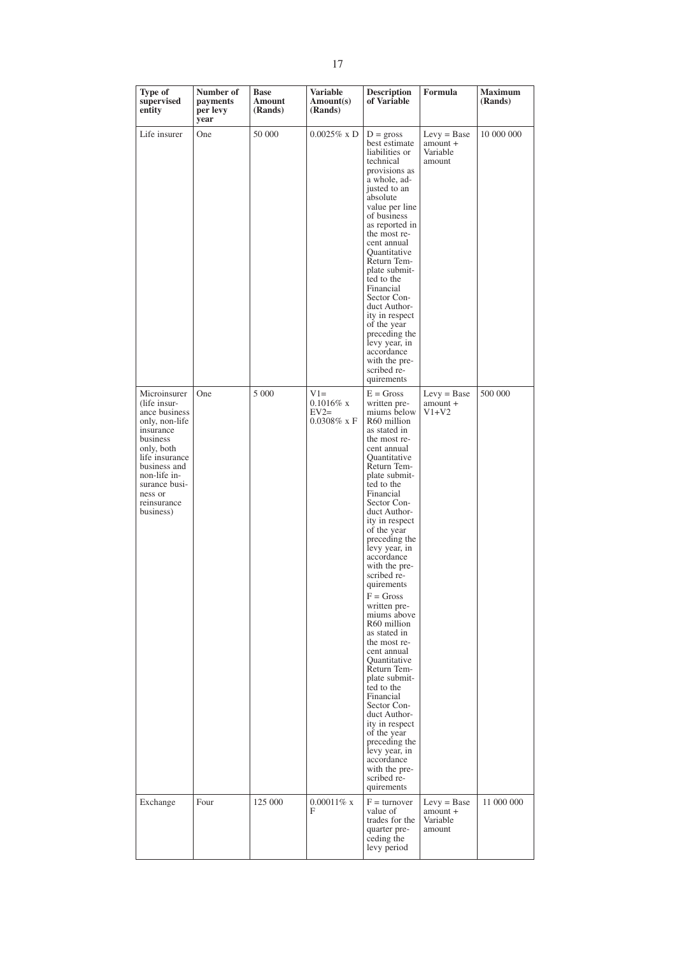| Type of<br>supervised<br>entity                                                                                                                                                                                  | Number of<br>payments<br>per levy<br>year | <b>Base</b><br>Amount<br>(Rands) | <b>Variable</b><br>Amount(s)<br>(Rands)           | <b>Description</b><br>of Variable                                                                                                                                                                                                                                                                                                                                                                                                                                                                                                                                                                                                                                                                                  | Formula                                         | <b>Maximum</b><br>(Rands) |
|------------------------------------------------------------------------------------------------------------------------------------------------------------------------------------------------------------------|-------------------------------------------|----------------------------------|---------------------------------------------------|--------------------------------------------------------------------------------------------------------------------------------------------------------------------------------------------------------------------------------------------------------------------------------------------------------------------------------------------------------------------------------------------------------------------------------------------------------------------------------------------------------------------------------------------------------------------------------------------------------------------------------------------------------------------------------------------------------------------|-------------------------------------------------|---------------------------|
| Life insurer                                                                                                                                                                                                     | One                                       | 50 000                           | $0.0025\%$ x D                                    | $D =$ gross<br>best estimate<br>liabilities or<br>technical<br>provisions as<br>a whole, ad-<br>justed to an<br>absolute<br>value per line<br>of business<br>as reported in<br>the most re-<br>cent annual<br>Quantitative<br>Return Tem-<br>plate submit-<br>ted to the<br>Financial<br>Sector Con-<br>duct Author-<br>ity in respect<br>of the year<br>preceding the<br>levy year, in<br>accordance<br>with the pre-<br>scribed re-<br>quirements                                                                                                                                                                                                                                                                | $Levy = Base$<br>amount +<br>Variable<br>amount | 10 000 000                |
| Microinsurer<br>(life insur-<br>ance business<br>only, non-life<br>insurance<br>business<br>only, both<br>life insurance<br>business and<br>non-life in-<br>surance busi-<br>ness or<br>reinsurance<br>business) | One                                       | 5 0 0 0                          | $V1=$<br>$0.1016\%$ x<br>$EV2=$<br>$0.0308\%$ x F | $E = Gross$<br>written pre-<br>miums below<br>R <sub>60</sub> million<br>as stated in<br>the most re-<br>cent annual<br>Quantitative<br>Return Tem-<br>plate submit-<br>ted to the<br>Financial<br>Sector Con-<br>duct Author-<br>ity in respect<br>of the year<br>preceding the<br>levy year, in<br>accordance<br>with the pre-<br>scribed re-<br>quirements<br>$F = Gross$<br>written pre-<br>miums above<br>R60 million<br>as stated in<br>the most re-<br>cent annual<br>Ouantitative<br>Return Tem-<br>plate submit-<br>ted to the<br>Financial<br>Sector Con-<br>duct Author-<br>ity in respect<br>of the year<br>preceding the<br>levy year, in<br>accordance<br>with the pre-<br>scribed re-<br>quirements | $Levy = Base$<br>amount +<br>$V1+V2$            | 500 000                   |
| Exchange                                                                                                                                                                                                         | Four                                      | 125 000                          | $0.00011\%$ x<br>F                                | $F =$ turnover<br>value of<br>trades for the<br>quarter pre-<br>ceding the<br>levy period                                                                                                                                                                                                                                                                                                                                                                                                                                                                                                                                                                                                                          | $Levy = Base$<br>amount +<br>Variable<br>amount | 11 000 000                |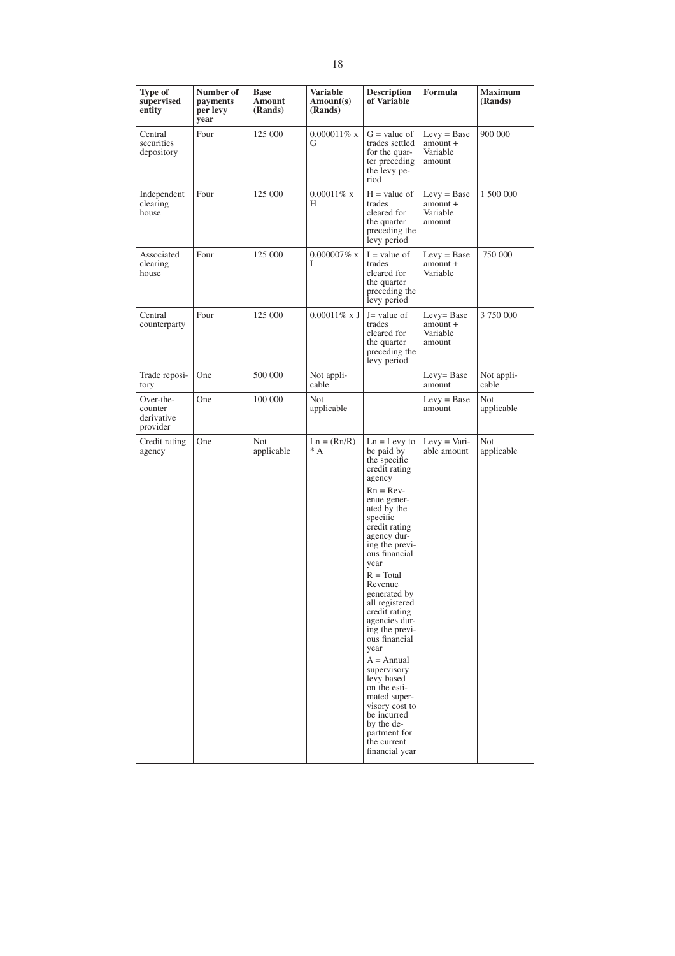| Type of<br>supervised<br>entity                | Number of<br>payments<br>per levy<br>year | <b>Base</b><br>Amount<br>(Rands) | <b>Variable</b><br>Amount(s)<br>(Rands) | <b>Description</b><br>of Variable                                                                                                                                                                                                                                                                                                                                                                                                                                                                                                        | Formula                                           | <b>Maximum</b><br>(Rands) |
|------------------------------------------------|-------------------------------------------|----------------------------------|-----------------------------------------|------------------------------------------------------------------------------------------------------------------------------------------------------------------------------------------------------------------------------------------------------------------------------------------------------------------------------------------------------------------------------------------------------------------------------------------------------------------------------------------------------------------------------------------|---------------------------------------------------|---------------------------|
| Central<br>securities<br>depository            | Four                                      | 125 000                          | $0.000011\%$ x<br>G                     | $G =$ value of<br>trades settled<br>for the quar-<br>ter preceding<br>the levy pe-<br>riod                                                                                                                                                                                                                                                                                                                                                                                                                                               | $Levy = Base$<br>$amount +$<br>Variable<br>amount | 900 000                   |
| Independent<br>clearing<br>house               | Four                                      | 125 000                          | $0.00011\%$ x<br>H                      | $H = value of$<br>trades<br>cleared for<br>the quarter<br>preceding the<br>levy period                                                                                                                                                                                                                                                                                                                                                                                                                                                   | $Levy = Base$<br>$amount +$<br>Variable<br>amount | 1 500 000                 |
| Associated<br>clearing<br>house                | Four                                      | 125 000                          | $0.000007\%$ x<br>Ι                     | $I = value of$<br>trades<br>cleared for<br>the quarter<br>preceding the<br>levy period                                                                                                                                                                                                                                                                                                                                                                                                                                                   | $Levy = Base$<br>$amount +$<br>Variable           | 750 000                   |
| Central<br>counterparty                        | Four                                      | 125 000                          | $0.00011\%$ x J                         | $J =$ value of<br>trades<br>cleared for<br>the quarter<br>preceding the<br>levy period                                                                                                                                                                                                                                                                                                                                                                                                                                                   | Levy= Base<br>amount +<br>Variable<br>amount      | 3 750 000                 |
| Trade reposi-<br>tory                          | One                                       | 500 000                          | Not appli-<br>cable                     |                                                                                                                                                                                                                                                                                                                                                                                                                                                                                                                                          | Levy= Base<br>amount                              | Not appli-<br>cable       |
| Over-the-<br>counter<br>derivative<br>provider | One                                       | 100 000                          | <b>Not</b><br>applicable                |                                                                                                                                                                                                                                                                                                                                                                                                                                                                                                                                          | $Levy = Base$<br>amount                           | <b>Not</b><br>applicable  |
| Credit rating<br>agency                        | One                                       | Not<br>applicable                | $Ln = (Rn/R)$<br>$^*$ A                 | $Ln = Levy$ to<br>be paid by<br>the specific<br>credit rating<br>agency<br>$Rn = Rev-$<br>enue gener-<br>ated by the<br>specific<br>credit rating<br>agency dur-<br>ing the previ-<br>ous financial<br>year<br>$R = Total$<br>Revenue<br>generated by<br>all registered<br>credit rating<br>agencies dur-<br>ing the previ-<br>ous financial<br>year<br>$A = \text{Annual}$<br>supervisory<br>levy based<br>on the esti-<br>mated super-<br>visory cost to<br>be incurred<br>by the de-<br>partment for<br>the current<br>financial year | Levy $=$ Vari-<br>able amount                     | Not<br>applicable         |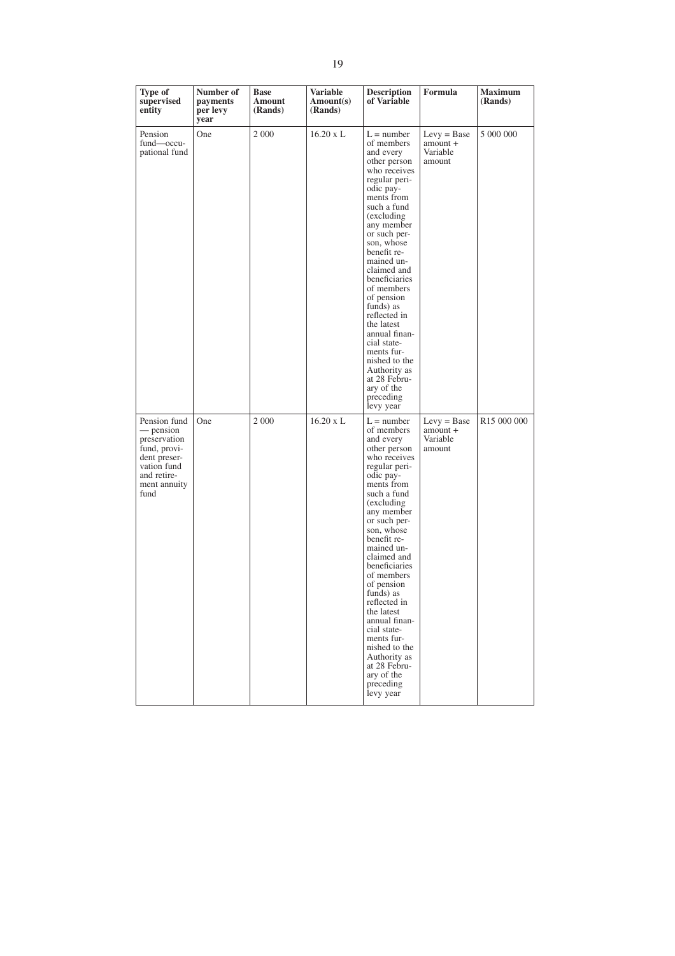| Type of<br>supervised<br>entity                                                                                                 | Number of<br>payments<br>per levy<br>year | <b>Base</b><br>Amount<br>(Rands) | <b>Variable</b><br>Amount(s)<br>(Rands) | <b>Description</b><br>of Variable                                                                                                                                                                                                                                                                                                                                                                                                                                        | Formula                                         | <b>Maximum</b><br>(Rands) |
|---------------------------------------------------------------------------------------------------------------------------------|-------------------------------------------|----------------------------------|-----------------------------------------|--------------------------------------------------------------------------------------------------------------------------------------------------------------------------------------------------------------------------------------------------------------------------------------------------------------------------------------------------------------------------------------------------------------------------------------------------------------------------|-------------------------------------------------|---------------------------|
| Pension<br>fund—occu-<br>pational fund                                                                                          | One                                       | 2 0 0 0                          | $16.20 \times L$                        | $L =$ number<br>of members<br>and every<br>other person<br>who receives<br>regular peri-<br>odic pay-<br>ments from<br>such a fund<br>(excluding)<br>any member<br>or such per-<br>son, whose<br>benefit re-<br>mained un-<br>claimed and<br>beneficiaries<br>of members<br>of pension<br>funds) as<br>reflected in<br>the latest<br>annual finan-<br>cial state-<br>ments fur-<br>nished to the<br>Authority as<br>at 28 Febru-<br>ary of the<br>preceding<br>levy year | $Levy = Base$<br>amount +<br>Variable<br>amount | 5 000 000                 |
| Pension fund<br>— pension<br>preservation<br>fund, provi-<br>dent preser-<br>vation fund<br>and retire-<br>ment annuity<br>fund | One                                       | 2 0 0 0                          | $16.20 \times L$                        | $L =$ number<br>of members<br>and every<br>other person<br>who receives<br>regular peri-<br>odic pay-<br>ments from<br>such a fund<br>(excluding)<br>any member<br>or such per-<br>son, whose<br>benefit re-<br>mained un-<br>claimed and<br>beneficiaries<br>of members<br>of pension<br>funds) as<br>reflected in<br>the latest<br>annual finan-<br>cial state-<br>ments fur-<br>nished to the<br>Authority as<br>at 28 Febru-<br>ary of the<br>preceding<br>levy year | $Levy = Base$<br>amount +<br>Variable<br>amount | R15 000 000               |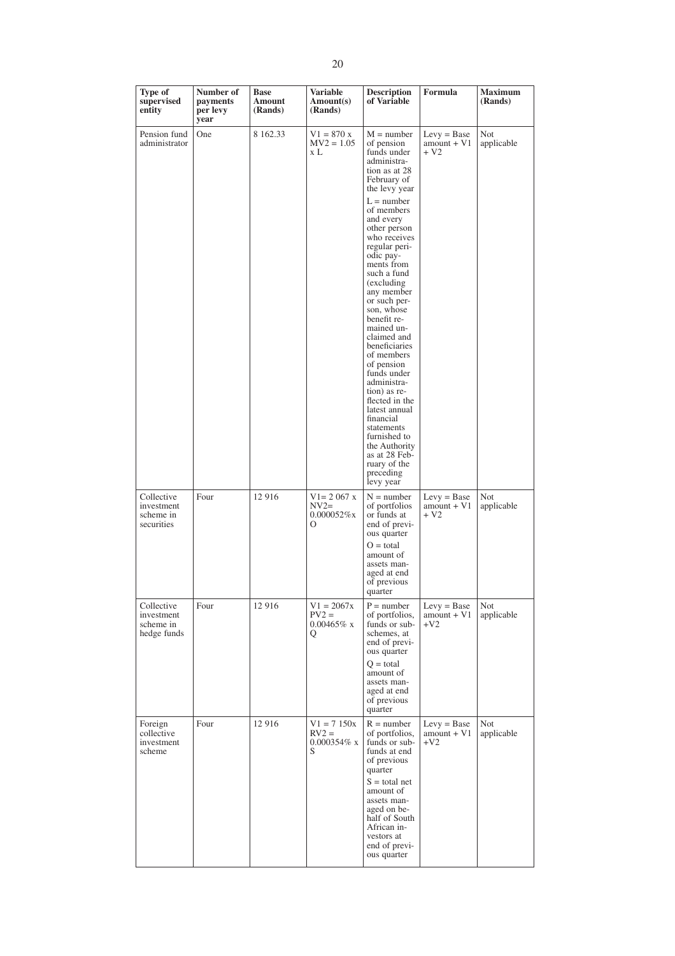| Type of<br>supervised<br>entity                      | Number of<br>payments<br>per levy<br>year | <b>Base</b><br>Amount<br>(Rands) | <b>Variable</b><br>Amount(s)<br>(Rands)              | <b>Description</b><br>of Variable                                                                                                                                                                                                                                                                                                                                                                                                                                                                                                                                                                           | Formula                                 | <b>Maximum</b><br>(Rands) |
|------------------------------------------------------|-------------------------------------------|----------------------------------|------------------------------------------------------|-------------------------------------------------------------------------------------------------------------------------------------------------------------------------------------------------------------------------------------------------------------------------------------------------------------------------------------------------------------------------------------------------------------------------------------------------------------------------------------------------------------------------------------------------------------------------------------------------------------|-----------------------------------------|---------------------------|
| Pension fund<br>administrator                        | One                                       | 8 162.33                         | $V1 = 870 x$<br>$MV2 = 1.05$<br>x L                  | $M = number$<br>of pension<br>funds under<br>administra-<br>tion as at 28<br>February of<br>the levy year<br>$L =$ number<br>of members<br>and every<br>other person<br>who receives<br>regular peri-<br>odic pay-<br>ments from<br>such a fund<br>(excluding)<br>any member<br>or such per-<br>son, whose<br>benefit re-<br>mained un-<br>claimed and<br>beneficiaries<br>of members<br>of pension<br>funds under<br>administra-<br>tion) as re-<br>flected in the<br>latest annual<br>financial<br>statements<br>furnished to<br>the Authority<br>as at 28 Feb-<br>ruary of the<br>preceding<br>levy year | $Levy = Base$<br>amount + V1<br>$+V2$   | Not<br>applicable         |
| Collective<br>investment<br>scheme in<br>securities  | Four                                      | 12 916                           | $V1 = 2067 x$<br>$NV2=$<br>$0.000052\%$ x<br>$\circ$ | $N =$ number<br>of portfolios<br>or funds at<br>end of previ-<br>ous quarter<br>$O = total$<br>amount of<br>assets man-<br>aged at end<br>of previous<br>quarter                                                                                                                                                                                                                                                                                                                                                                                                                                            | $Levy = Base$<br>$amount + V1$<br>$+V2$ | Not<br>applicable         |
| Collective<br>investment<br>scheme in<br>hedge funds | Four                                      | 12 916                           | $V1 = 2067x$<br>$PV2 =$<br>$0.00465\%$ x<br>Q        | $P = number$<br>of portfolios,<br>funds or sub-<br>schemes, at<br>end of previ-<br>ous quarter<br>$Q = total$<br>amount of<br>assets man-<br>aged at end<br>of previous<br>quarter                                                                                                                                                                                                                                                                                                                                                                                                                          | $Levy = Base$<br>$amount + VI$<br>$+V2$ | Not<br>applicable         |
| Foreign<br>collective<br>investment<br>scheme        | Four                                      | 12 916                           | $V1 = 7150x$<br>$RV2 =$<br>$0.000354\%$ x<br>S       | $R = number$<br>of portfolios,<br>funds or sub-<br>funds at end<br>of previous<br>quarter<br>$S =$ total net<br>amount of<br>assets man-<br>aged on be-<br>half of South<br>African in-<br>vestors at<br>end of previ-<br>ous quarter                                                                                                                                                                                                                                                                                                                                                                       | $Levy = Base$<br>$amount + VI$<br>$+V2$ | Not<br>applicable         |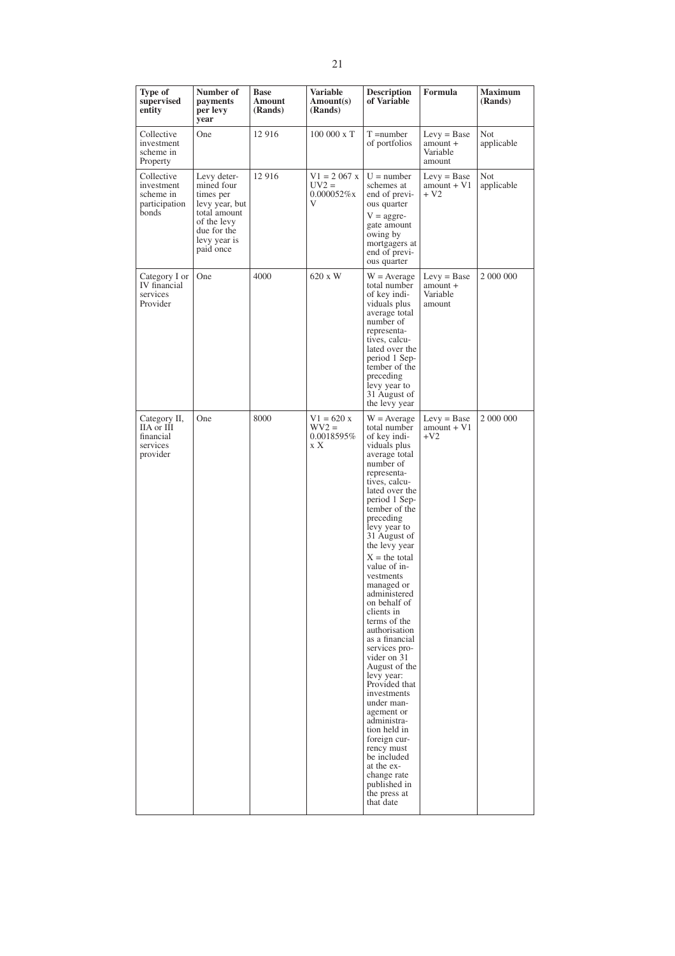| Type of<br>supervised<br>entity                                 | Number of<br>payments<br>per levy<br>year                                | <b>Base</b><br>Amount<br>(Rands) | <b>Variable</b><br>Amount(s)<br>(Rands)         | <b>Description</b><br>of Variable                                                                                                                                                                                                                                                                                                                                                                                                                                                                                                                                                                                                                                                             | Formula                                         | <b>Maximum</b><br>(Rands) |
|-----------------------------------------------------------------|--------------------------------------------------------------------------|----------------------------------|-------------------------------------------------|-----------------------------------------------------------------------------------------------------------------------------------------------------------------------------------------------------------------------------------------------------------------------------------------------------------------------------------------------------------------------------------------------------------------------------------------------------------------------------------------------------------------------------------------------------------------------------------------------------------------------------------------------------------------------------------------------|-------------------------------------------------|---------------------------|
| Collective<br>investment<br>scheme in<br>Property               | One                                                                      | 12 916                           | 100 000 x T                                     | $T = number$<br>of portfolios                                                                                                                                                                                                                                                                                                                                                                                                                                                                                                                                                                                                                                                                 | $Levy = Base$<br>amount +<br>Variable<br>amount | Not<br>applicable         |
| Collective<br>investment<br>scheme in<br>participation<br>bonds | Levy deter-<br>mined four<br>times per<br>levy year, but<br>total amount | 12 916<br>of the levy            | $V1 = 2067$ x<br>$UV2 =$<br>$0.000052\%$ x<br>V | $U =$ number<br>schemes at<br>end of previ-<br>ous quarter<br>$V = \text{aggre}$                                                                                                                                                                                                                                                                                                                                                                                                                                                                                                                                                                                                              | $Levy = Base$<br>$amount + VI$<br>+ V2          | Not<br>applicable         |
|                                                                 | due for the<br>levy year is<br>paid once                                 |                                  |                                                 | gate amount<br>owing by<br>mortgagers at<br>end of previ-<br>ous quarter                                                                                                                                                                                                                                                                                                                                                                                                                                                                                                                                                                                                                      |                                                 |                           |
| Category I or<br>IV financial<br>services<br>Provider           | One                                                                      | 4000                             | 620 x W                                         | $W = Average$<br>total number<br>of key indi-<br>viduals plus<br>average total<br>number of<br>representa-<br>tives, calcu-<br>lated over the<br>period 1 Sep-<br>tember of the<br>preceding<br>levy year to<br>31 August of<br>the levy year                                                                                                                                                                                                                                                                                                                                                                                                                                                 | $Levy = Base$<br>amount +<br>Variable<br>amount | 2 000 000                 |
| Category II,<br>IIA or III<br>financial<br>services<br>provider | One                                                                      | 8000                             | $V1 = 620 x$<br>$WV2 =$<br>0.0018595%<br>x X    | $W = Average$<br>total number<br>of key indi-<br>viduals plus<br>average total<br>number of<br>representa-<br>tives, calcu-<br>lated over the<br>period 1 Sep-<br>tember of the<br>preceding<br>levy year to<br>31 August of<br>the levy year<br>$X =$ the total<br>value of in-<br>vestments<br>managed or<br>administered<br>on behalf of<br>clients in<br>terms of the<br>authorisation<br>as a financial<br>services pro-<br>vider on 31<br>August of the<br>levy year:<br>Provided that<br>investments<br>under man-<br>agement or<br>administra-<br>tion held in<br>foreign cur-<br>rency must<br>be included<br>at the ex-<br>change rate<br>published in<br>the press at<br>that date | $Levy = Base$<br>$amount + V1$<br>$+V2$         | 2 000 000                 |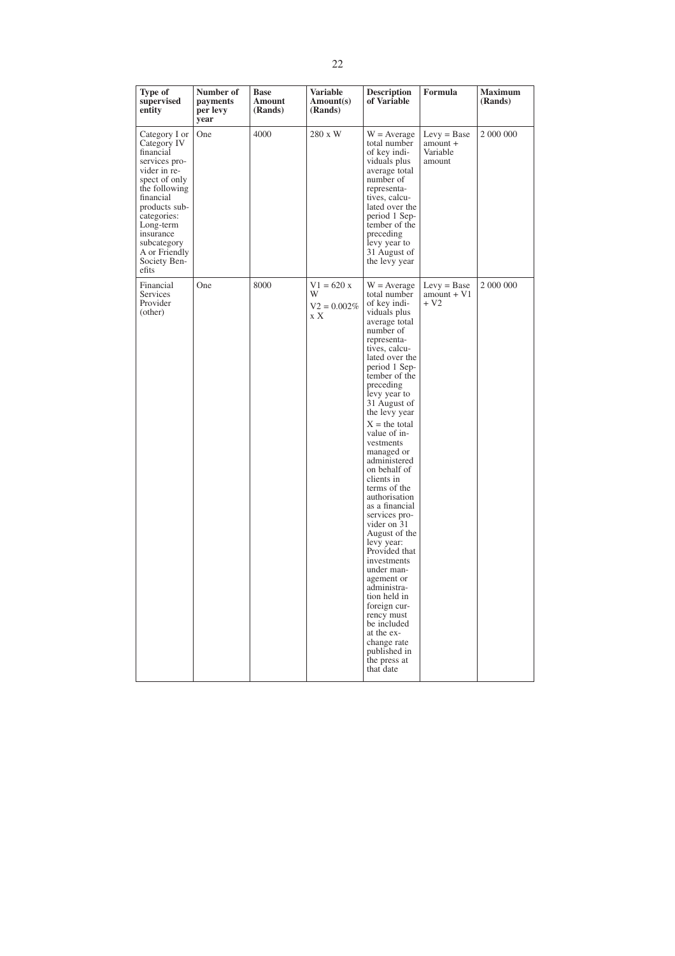| Type of<br>supervised<br>entity                                                                                                                                                                                                              | Number of<br>payments<br>per levy<br>year | <b>Base</b><br>Amount<br>(Rands) | Variable<br>Amount(s)<br>(Rands)           | <b>Description</b><br>of Variable                                                                                                                                                                                                                                                                                                                                                                                                                                                                                                                                                                                                                                                             | Formula                                           | <b>Maximum</b><br>(Rands) |
|----------------------------------------------------------------------------------------------------------------------------------------------------------------------------------------------------------------------------------------------|-------------------------------------------|----------------------------------|--------------------------------------------|-----------------------------------------------------------------------------------------------------------------------------------------------------------------------------------------------------------------------------------------------------------------------------------------------------------------------------------------------------------------------------------------------------------------------------------------------------------------------------------------------------------------------------------------------------------------------------------------------------------------------------------------------------------------------------------------------|---------------------------------------------------|---------------------------|
| Category I or<br>Category IV<br>financial<br>services pro-<br>vider in re-<br>spect of only<br>the following<br>financial<br>products sub-<br>categories:<br>Long-term<br>insurance<br>subcategory<br>A or Friendly<br>Society Ben-<br>efits | One                                       | 4000                             | 280 x W                                    | $W = Average$<br>total number<br>of key indi-<br>viduals plus<br>average total<br>number of<br>representa-<br>tives, calcu-<br>lated over the<br>period 1 Sep-<br>tember of the<br>preceding<br>levy year to<br>31 August of<br>the levy year                                                                                                                                                                                                                                                                                                                                                                                                                                                 | $Levy = Base$<br>$amount +$<br>Variable<br>amount | 2 000 000                 |
| Financial<br>Services<br>Provider<br>(other)                                                                                                                                                                                                 | One                                       | 8000                             | $V1 = 620 x$<br>W<br>$V2 = 0.002\%$<br>x X | $W = Average$<br>total number<br>of key indi-<br>viduals plus<br>average total<br>number of<br>representa-<br>tives, calcu-<br>lated over the<br>period 1 Sep-<br>tember of the<br>preceding<br>levy year to<br>31 August of<br>the levy year<br>$X =$ the total<br>value of in-<br>vestments<br>managed or<br>administered<br>on behalf of<br>clients in<br>terms of the<br>authorisation<br>as a financial<br>services pro-<br>vider on 31<br>August of the<br>levy year:<br>Provided that<br>investments<br>under man-<br>agement or<br>administra-<br>tion held in<br>foreign cur-<br>rency must<br>be included<br>at the ex-<br>change rate<br>published in<br>the press at<br>that date | $Levy = Base$<br>$amount + V1$<br>$+V2$           | 2 000 000                 |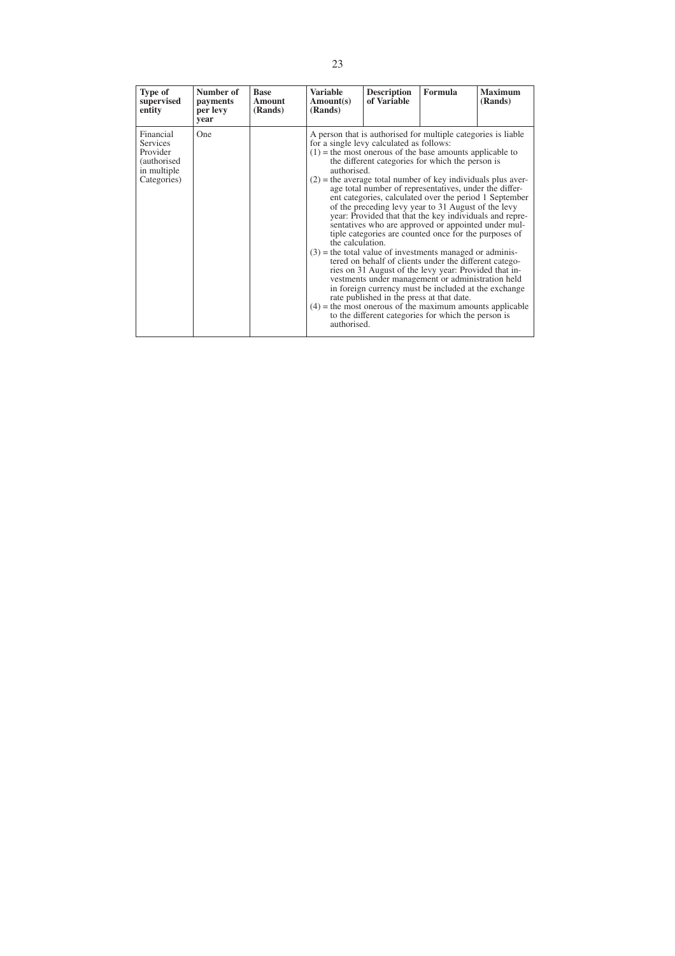| <b>Type of</b><br>supervised<br>entity                                                | Number of<br>payments<br>per levy<br>year | <b>Base</b><br>Amount<br>(Rands) | <b>Variable</b><br>Amount(s)<br>(Rands)        | <b>Description</b><br>of Variable                                                     | Formula                                                                                                                                                                                                                                                                                                                                                                                                                                                                                                                                                                                                                                                                                                                                                                                                                                                                                                                                                                                                                     | <b>Maximum</b><br>(Rands) |
|---------------------------------------------------------------------------------------|-------------------------------------------|----------------------------------|------------------------------------------------|---------------------------------------------------------------------------------------|-----------------------------------------------------------------------------------------------------------------------------------------------------------------------------------------------------------------------------------------------------------------------------------------------------------------------------------------------------------------------------------------------------------------------------------------------------------------------------------------------------------------------------------------------------------------------------------------------------------------------------------------------------------------------------------------------------------------------------------------------------------------------------------------------------------------------------------------------------------------------------------------------------------------------------------------------------------------------------------------------------------------------------|---------------------------|
| Financial<br><b>Services</b><br>Provider<br>(authorised<br>in multiple<br>Categories) | One                                       |                                  | authorised.<br>the calculation.<br>authorised. | for a single levy calculated as follows:<br>rate published in the press at that date. | A person that is authorised for multiple categories is liable.<br>$(1)$ = the most onerous of the base amounts applicable to<br>the different categories for which the person is<br>$(2)$ = the average total number of key individuals plus aver-<br>age total number of representatives, under the differ-<br>ent categories, calculated over the period 1 September<br>of the preceding levy year to 31 August of the levy<br>year: Provided that that the key individuals and repre-<br>sentatives who are approved or appointed under mul-<br>tiple categories are counted once for the purposes of<br>$(3)$ = the total value of investments managed or adminis-<br>tered on behalf of clients under the different catego-<br>ries on 31 August of the levy year: Provided that in-<br>vestments under management or administration held<br>in foreign currency must be included at the exchange<br>$(4)$ = the most onerous of the maximum amounts applicable<br>to the different categories for which the person is |                           |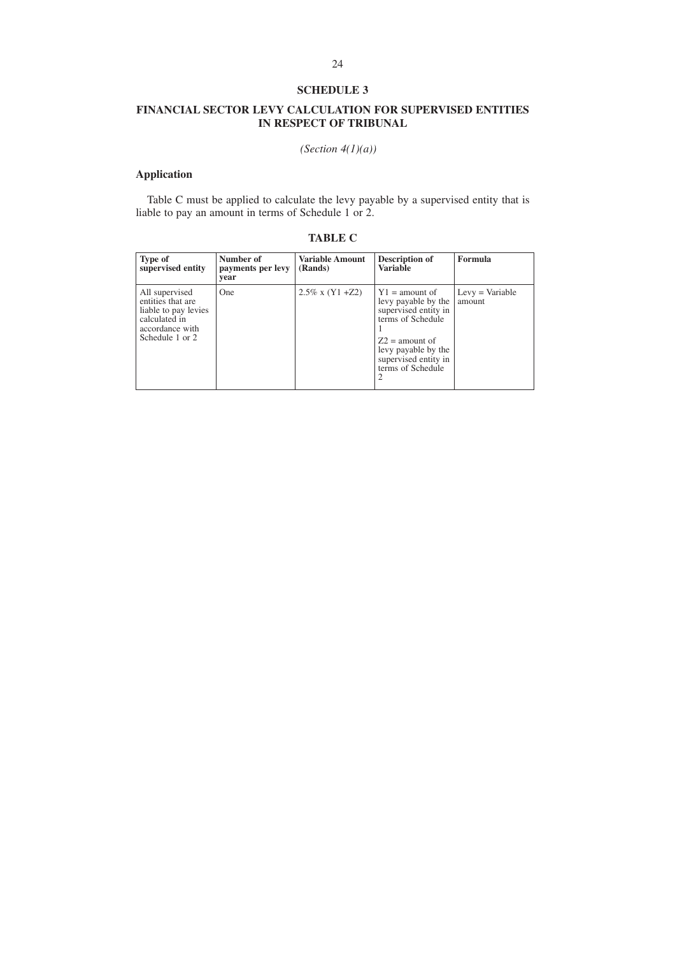# **FINANCIAL SECTOR LEVY CALCULATION FOR SUPERVISED ENTITIES IN RESPECT OF TRIBUNAL**

*(Section 4(1)(a))*

# **Application**

Table C must be applied to calculate the levy payable by a supervised entity that is liable to pay an amount in terms of Schedule 1 or 2.

| <b>Type of</b><br>supervised entity                                                                                | Number of<br>payments per levy<br>vear | <b>Variable Amount</b><br>(Rands) | Description of<br><b>Variable</b>                                                                                                                                                  | Formula                     |
|--------------------------------------------------------------------------------------------------------------------|----------------------------------------|-----------------------------------|------------------------------------------------------------------------------------------------------------------------------------------------------------------------------------|-----------------------------|
| All supervised<br>entities that are<br>liable to pay levies<br>calculated in<br>accordance with<br>Schedule 1 or 2 | <b>One</b>                             | $2.5\%$ x (Y1 +Z2)                | $\vert$ Y1 = amount of<br>levy payable by the<br>supervised entity in<br>terms of Schedule<br>$Z2$ = amount of<br>levy payable by the<br>supervised entity in<br>terms of Schedule | $Levy = Variable$<br>amount |

# **TABLE C**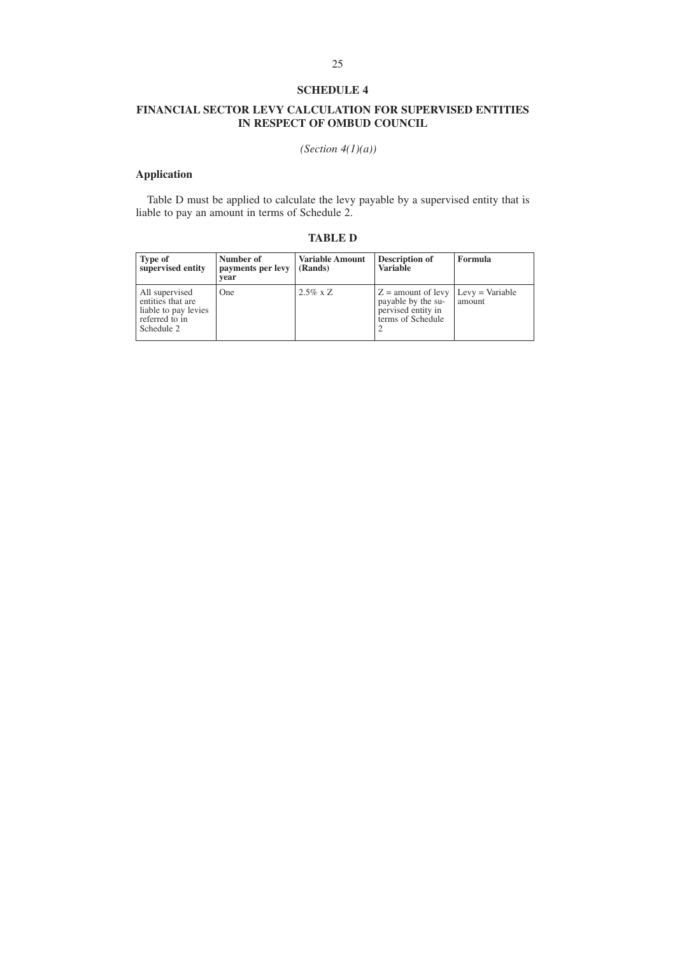# **FINANCIAL SECTOR LEVY CALCULATION FOR SUPERVISED ENTITIES IN RESPECT OF OMBUD COUNCIL**

*(Section 4(1)(a))*

# **Application**

Table D must be applied to calculate the levy payable by a supervised entity that is liable to pay an amount in terms of Schedule 2.

# **TABLE D**

| <b>Type of</b><br>supervised entity                                                         | Number of<br>payments per levy<br>vear | <b>Variable Amount</b><br>(Rands) | Description of<br><b>Variable</b>                                                     | Formula                     |
|---------------------------------------------------------------------------------------------|----------------------------------------|-----------------------------------|---------------------------------------------------------------------------------------|-----------------------------|
| All supervised<br>entities that are<br>liable to pay levies<br>referred to in<br>Schedule 2 | <b>One</b>                             | $2.5\% \times Z$                  | $Z =$ amount of levy<br>payable by the su-<br>pervised entity in<br>terms of Schedule | $Levy = Variable$<br>amount |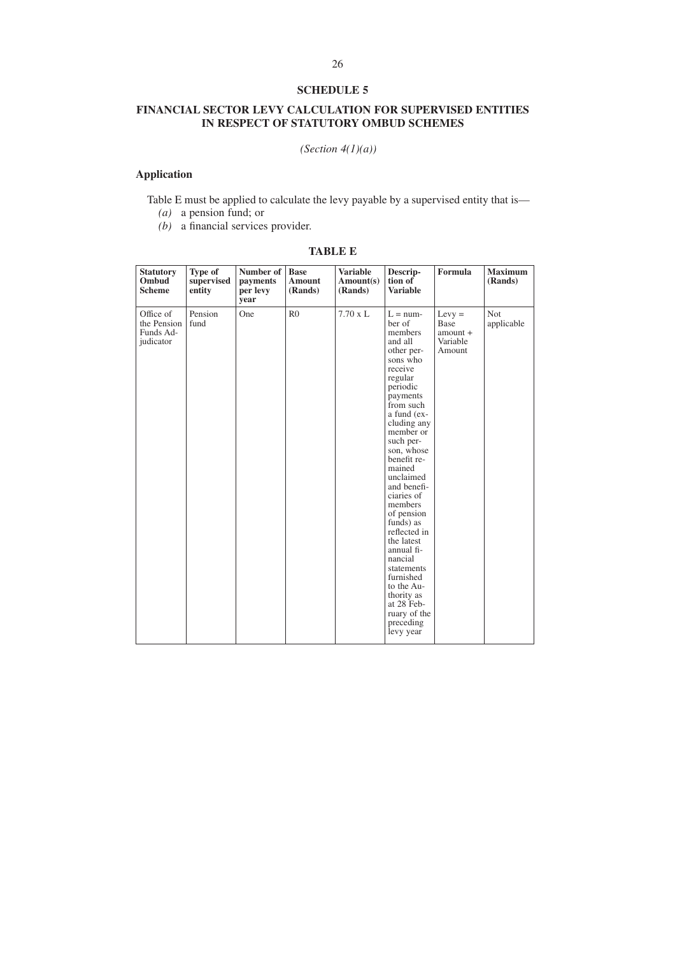# **FINANCIAL SECTOR LEVY CALCULATION FOR SUPERVISED ENTITIES IN RESPECT OF STATUTORY OMBUD SCHEMES**

*(Section 4(1)(a))*

# **Application**

Table E must be applied to calculate the levy payable by a supervised entity that is—

- *(a)* a pension fund; or
- *(b)* a financial services provider.

# **TABLE E**

| <b>Statutory</b><br>Ombud<br><b>Scheme</b>         | Type of<br>supervised<br>entity | Number of<br>payments<br>per levy<br>year | <b>Base</b><br><b>Amount</b><br>(Rands) | <b>Variable</b><br>Amount(s)<br>(Rands) | Descrip-<br>tion of<br><b>Variable</b>                                                                                                                                                                                                                                                                                                                                                                                                                                              | Formula                                              | <b>Maximum</b><br>(Rands) |
|----------------------------------------------------|---------------------------------|-------------------------------------------|-----------------------------------------|-----------------------------------------|-------------------------------------------------------------------------------------------------------------------------------------------------------------------------------------------------------------------------------------------------------------------------------------------------------------------------------------------------------------------------------------------------------------------------------------------------------------------------------------|------------------------------------------------------|---------------------------|
| Office of<br>the Pension<br>Funds Ad-<br>judicator | Pension<br>fund                 | One                                       | R <sub>0</sub>                          | $7.70 \times L$                         | $L = num$<br>ber of<br>members<br>and all<br>other per-<br>sons who<br>receive<br>regular<br>periodic<br>payments<br>from such<br>a fund (ex-<br>cluding any<br>member or<br>such per-<br>son, whose<br>benefit re-<br>mained<br>unclaimed<br>and benefi-<br>ciaries of<br>members<br>of pension<br>funds) as<br>reflected in<br>the latest<br>annual fi-<br>nancial<br>statements<br>furnished<br>to the Au-<br>thority as<br>at 28 Feb-<br>ruary of the<br>preceding<br>levy year | $Levy =$<br>Base<br>$amount +$<br>Variable<br>Amount | Not<br>applicable         |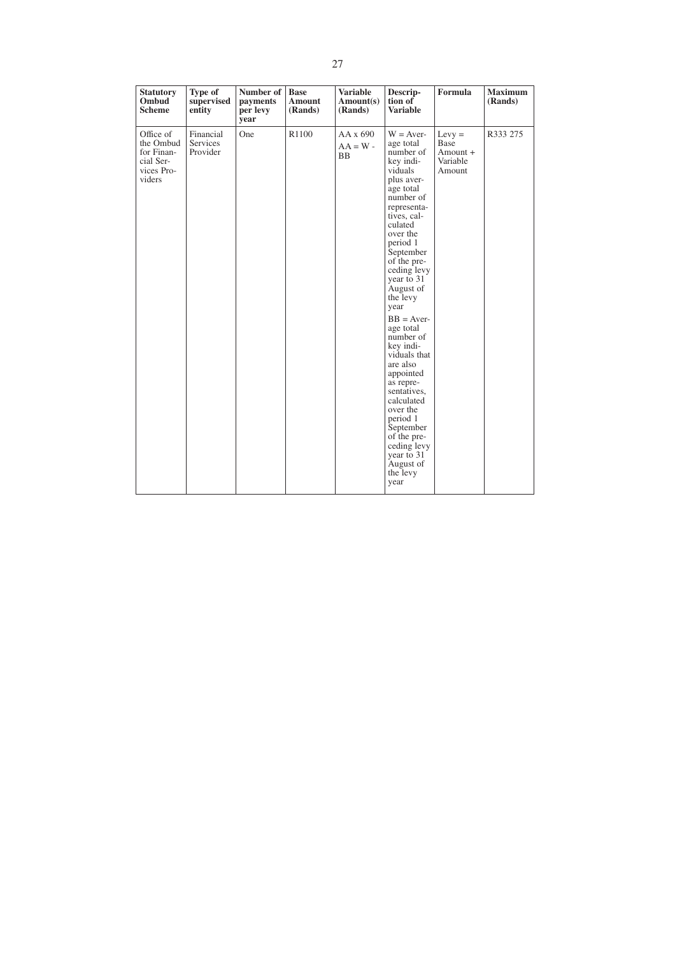| <b>Statutory</b><br>Ombud<br><b>Scheme</b>                                | Type of<br>supervised<br>entity          | Number of<br>payments<br>per levy<br>year | <b>Base</b><br><b>Amount</b><br>(Rands) | <b>Variable</b><br>Amount(s)<br>(Rands)    | Descrip-<br>tion of<br><b>Variable</b>                                                                                                                                                                                                                                                                                                                                                                                                                                                                                      | Formula                                                   | <b>Maximum</b><br>(Rands) |
|---------------------------------------------------------------------------|------------------------------------------|-------------------------------------------|-----------------------------------------|--------------------------------------------|-----------------------------------------------------------------------------------------------------------------------------------------------------------------------------------------------------------------------------------------------------------------------------------------------------------------------------------------------------------------------------------------------------------------------------------------------------------------------------------------------------------------------------|-----------------------------------------------------------|---------------------------|
| Office of<br>the Ombud<br>for Finan-<br>cial Ser-<br>vices Pro-<br>viders | Financial<br><b>Services</b><br>Provider | One                                       | R1100                                   | $AA \times 690$<br>$AA = W -$<br><b>BB</b> | $W = Aver-$<br>age total<br>number of<br>key indi-<br>viduals<br>plus aver-<br>age total<br>number of<br>representa-<br>tives, cal-<br>culated<br>over the<br>period 1<br>September<br>of the pre-<br>ceding levy<br>year to 31<br>August of<br>the levy<br>year<br>$BB = Aver$<br>age total<br>number of<br>key indi-<br>viduals that<br>are also<br>appointed<br>as repre-<br>sentatives,<br>calculated<br>over the<br>period 1<br>September<br>of the pre-<br>ceding levy<br>year to 31<br>August of<br>the levy<br>year | $Levy =$<br><b>Base</b><br>Amount +<br>Variable<br>Amount | R333 275                  |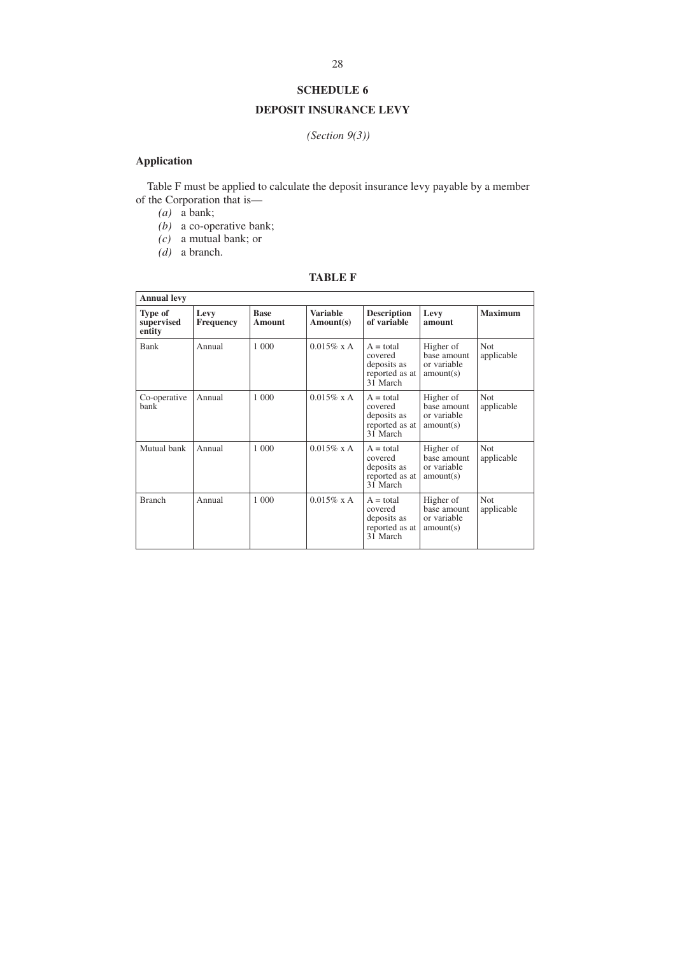# **DEPOSIT INSURANCE LEVY**

# *(Section 9(3))*

# **Application**

Table F must be applied to calculate the deposit insurance levy payable by a member of the Corporation that is—

 $(a)$  a bank;

*(b)* a co-operative bank;

- *(c)* a mutual bank; or
- *(d)* a branch.

# **TABLE F**

| <b>Annual levy</b>              |                          |                       |                       |                                                                     |                                                      |                          |  |
|---------------------------------|--------------------------|-----------------------|-----------------------|---------------------------------------------------------------------|------------------------------------------------------|--------------------------|--|
| Type of<br>supervised<br>entity | Levy<br><b>Frequency</b> | <b>Base</b><br>Amount | Variable<br>Amount(s) | <b>Description</b><br>of variable                                   | Levy<br>amount                                       | <b>Maximum</b>           |  |
| Bank                            | Annual                   | 1 0 0 0               | $0.015\%$ x A         | $A = total$<br>covered<br>deposits as<br>reported as at<br>31 March | Higher of<br>base amount<br>or variable<br>amount(s) | Not<br>applicable        |  |
| Co-operative<br>bank            | Annual                   | 1 000                 | $0.015\%$ x A         | $A = total$<br>covered<br>deposits as<br>reported as at<br>31 March | Higher of<br>base amount<br>or variable<br>amount(s) | <b>Not</b><br>applicable |  |
| Mutual bank                     | Annual                   | 1 0 0 0               | $0.015\%$ x A         | $A = total$<br>covered<br>deposits as<br>reported as at<br>31 March | Higher of<br>base amount<br>or variable<br>amount(s) | <b>Not</b><br>applicable |  |
| <b>Branch</b>                   | Annual                   | 1 000                 | $0.015\%$ x A         | $A = total$<br>covered<br>deposits as<br>reported as at<br>31 March | Higher of<br>base amount<br>or variable<br>amount(s) | <b>Not</b><br>applicable |  |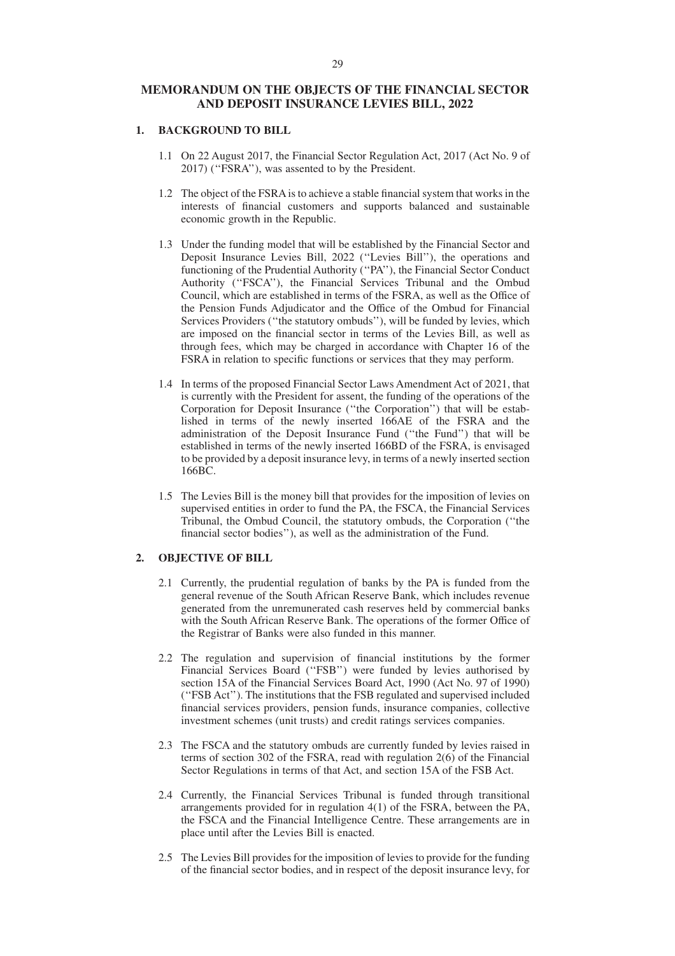# **MEMORANDUM ON THE OBJECTS OF THE FINANCIAL SECTOR AND DEPOSIT INSURANCE LEVIES BILL, 2022**

### **1. BACKGROUND TO BILL**

- 1.1 On 22 August 2017, the Financial Sector Regulation Act, 2017 (Act No. 9 of 2017) (''FSRA''), was assented to by the President.
- 1.2 The object of the FSRAis to achieve a stable financial system that works in the interests of financial customers and supports balanced and sustainable economic growth in the Republic.
- 1.3 Under the funding model that will be established by the Financial Sector and Deposit Insurance Levies Bill, 2022 (''Levies Bill''), the operations and functioning of the Prudential Authority (''PA''), the Financial Sector Conduct Authority (''FSCA''), the Financial Services Tribunal and the Ombud Council, which are established in terms of the FSRA, as well as the Office of the Pension Funds Adjudicator and the Office of the Ombud for Financial Services Providers (''the statutory ombuds''), will be funded by levies, which are imposed on the financial sector in terms of the Levies Bill, as well as through fees, which may be charged in accordance with Chapter 16 of the FSRA in relation to specific functions or services that they may perform.
- 1.4 In terms of the proposed Financial Sector Laws Amendment Act of 2021, that is currently with the President for assent, the funding of the operations of the Corporation for Deposit Insurance (''the Corporation'') that will be established in terms of the newly inserted 166AE of the FSRA and the administration of the Deposit Insurance Fund (''the Fund'') that will be established in terms of the newly inserted 166BD of the FSRA, is envisaged to be provided by a deposit insurance levy, in terms of a newly inserted section 166BC.
- 1.5 The Levies Bill is the money bill that provides for the imposition of levies on supervised entities in order to fund the PA, the FSCA, the Financial Services Tribunal, the Ombud Council, the statutory ombuds, the Corporation (''the financial sector bodies''), as well as the administration of the Fund.

# **2. OBJECTIVE OF BILL**

- 2.1 Currently, the prudential regulation of banks by the PA is funded from the general revenue of the South African Reserve Bank, which includes revenue generated from the unremunerated cash reserves held by commercial banks with the South African Reserve Bank. The operations of the former Office of the Registrar of Banks were also funded in this manner.
- 2.2 The regulation and supervision of financial institutions by the former Financial Services Board (''FSB'') were funded by levies authorised by section 15A of the Financial Services Board Act, 1990 (Act No. 97 of 1990) (''FSB Act''). The institutions that the FSB regulated and supervised included financial services providers, pension funds, insurance companies, collective investment schemes (unit trusts) and credit ratings services companies.
- 2.3 The FSCA and the statutory ombuds are currently funded by levies raised in terms of section 302 of the FSRA, read with regulation 2(6) of the Financial Sector Regulations in terms of that Act, and section 15A of the FSB Act.
- 2.4 Currently, the Financial Services Tribunal is funded through transitional arrangements provided for in regulation 4(1) of the FSRA, between the PA, the FSCA and the Financial Intelligence Centre. These arrangements are in place until after the Levies Bill is enacted.
- 2.5 The Levies Bill provides for the imposition of levies to provide for the funding of the financial sector bodies, and in respect of the deposit insurance levy, for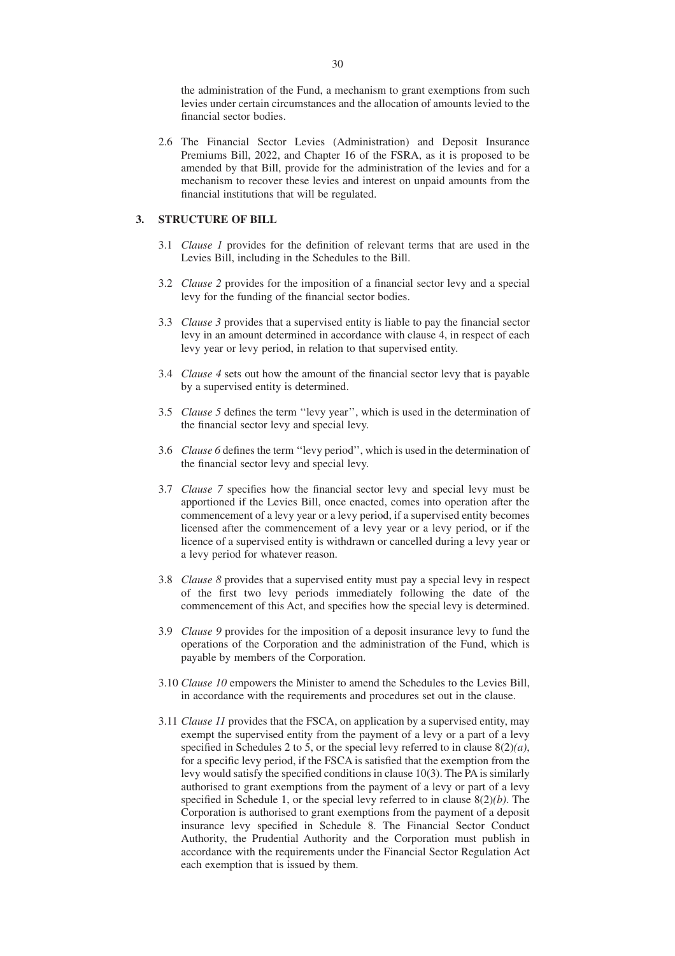the administration of the Fund, a mechanism to grant exemptions from such levies under certain circumstances and the allocation of amounts levied to the financial sector bodies.

2.6 The Financial Sector Levies (Administration) and Deposit Insurance Premiums Bill, 2022, and Chapter 16 of the FSRA, as it is proposed to be amended by that Bill, provide for the administration of the levies and for a mechanism to recover these levies and interest on unpaid amounts from the financial institutions that will be regulated.

# **3. STRUCTURE OF BILL**

- 3.1 *Clause 1* provides for the definition of relevant terms that are used in the Levies Bill, including in the Schedules to the Bill.
- 3.2 *Clause 2* provides for the imposition of a financial sector levy and a special levy for the funding of the financial sector bodies.
- 3.3 *Clause 3* provides that a supervised entity is liable to pay the financial sector levy in an amount determined in accordance with clause 4, in respect of each levy year or levy period, in relation to that supervised entity.
- 3.4 *Clause 4* sets out how the amount of the financial sector levy that is payable by a supervised entity is determined.
- 3.5 *Clause 5* defines the term ''levy year'', which is used in the determination of the financial sector levy and special levy.
- 3.6 *Clause 6* defines the term ''levy period'', which is used in the determination of the financial sector levy and special levy.
- 3.7 *Clause 7* specifies how the financial sector levy and special levy must be apportioned if the Levies Bill, once enacted, comes into operation after the commencement of a levy year or a levy period, if a supervised entity becomes licensed after the commencement of a levy year or a levy period, or if the licence of a supervised entity is withdrawn or cancelled during a levy year or a levy period for whatever reason.
- 3.8 *Clause 8* provides that a supervised entity must pay a special levy in respect of the first two levy periods immediately following the date of the commencement of this Act, and specifies how the special levy is determined.
- 3.9 *Clause 9* provides for the imposition of a deposit insurance levy to fund the operations of the Corporation and the administration of the Fund, which is payable by members of the Corporation.
- 3.10 *Clause 10* empowers the Minister to amend the Schedules to the Levies Bill, in accordance with the requirements and procedures set out in the clause.
- 3.11 *Clause 11* provides that the FSCA, on application by a supervised entity, may exempt the supervised entity from the payment of a levy or a part of a levy specified in Schedules 2 to 5, or the special levy referred to in clause 8(2)*(a)*, for a specific levy period, if the FSCA is satisfied that the exemption from the levy would satisfy the specified conditions in clause 10(3). The PA is similarly authorised to grant exemptions from the payment of a levy or part of a levy specified in Schedule 1, or the special levy referred to in clause 8(2)*(b)*. The Corporation is authorised to grant exemptions from the payment of a deposit insurance levy specified in Schedule 8. The Financial Sector Conduct Authority, the Prudential Authority and the Corporation must publish in accordance with the requirements under the Financial Sector Regulation Act each exemption that is issued by them.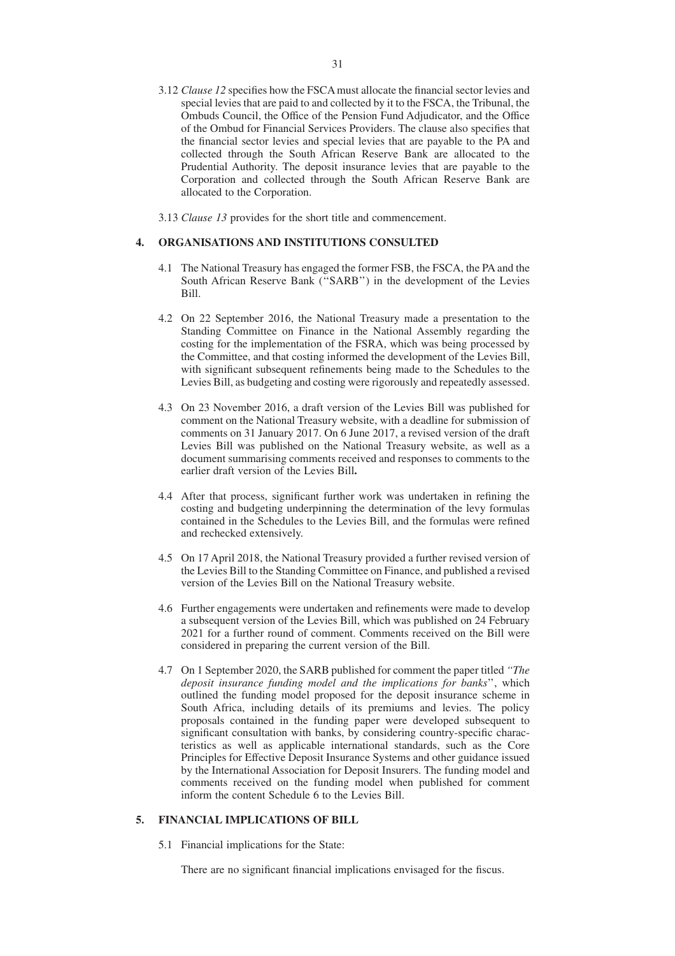- 3.12 *Clause 12* specifies how the FSCA must allocate the financial sector levies and special levies that are paid to and collected by it to the FSCA, the Tribunal, the Ombuds Council, the Office of the Pension Fund Adjudicator, and the Office of the Ombud for Financial Services Providers. The clause also specifies that the financial sector levies and special levies that are payable to the PA and collected through the South African Reserve Bank are allocated to the Prudential Authority. The deposit insurance levies that are payable to the Corporation and collected through the South African Reserve Bank are allocated to the Corporation.
- 3.13 *Clause 13* provides for the short title and commencement.

### **4. ORGANISATIONS AND INSTITUTIONS CONSULTED**

- 4.1 The National Treasury has engaged the former FSB, the FSCA, the PA and the South African Reserve Bank (''SARB'') in the development of the Levies Bill.
- 4.2 On 22 September 2016, the National Treasury made a presentation to the Standing Committee on Finance in the National Assembly regarding the costing for the implementation of the FSRA, which was being processed by the Committee, and that costing informed the development of the Levies Bill, with significant subsequent refinements being made to the Schedules to the Levies Bill, as budgeting and costing were rigorously and repeatedly assessed.
- 4.3 On 23 November 2016, a draft version of the Levies Bill was published for comment on the National Treasury website, with a deadline for submission of comments on 31 January 2017. On 6 June 2017, a revised version of the draft Levies Bill was published on the National Treasury website, as well as a document summarising comments received and responses to comments to the earlier draft version of the Levies Bill**.**
- 4.4 After that process, significant further work was undertaken in refining the costing and budgeting underpinning the determination of the levy formulas contained in the Schedules to the Levies Bill, and the formulas were refined and rechecked extensively.
- 4.5 On 17 April 2018, the National Treasury provided a further revised version of the Levies Bill to the Standing Committee on Finance, and published a revised version of the Levies Bill on the National Treasury website.
- 4.6 Further engagements were undertaken and refinements were made to develop a subsequent version of the Levies Bill, which was published on 24 February 2021 for a further round of comment. Comments received on the Bill were considered in preparing the current version of the Bill.
- 4.7 On 1 September 2020, the SARB published for comment the paper titled *''The deposit insurance funding model and the implications for banks*'', which outlined the funding model proposed for the deposit insurance scheme in South Africa, including details of its premiums and levies. The policy proposals contained in the funding paper were developed subsequent to significant consultation with banks, by considering country-specific characteristics as well as applicable international standards, such as the Core Principles for Effective Deposit Insurance Systems and other guidance issued by the International Association for Deposit Insurers. The funding model and comments received on the funding model when published for comment inform the content Schedule 6 to the Levies Bill.

# **5. FINANCIAL IMPLICATIONS OF BILL**

5.1 Financial implications for the State:

There are no significant financial implications envisaged for the fiscus.